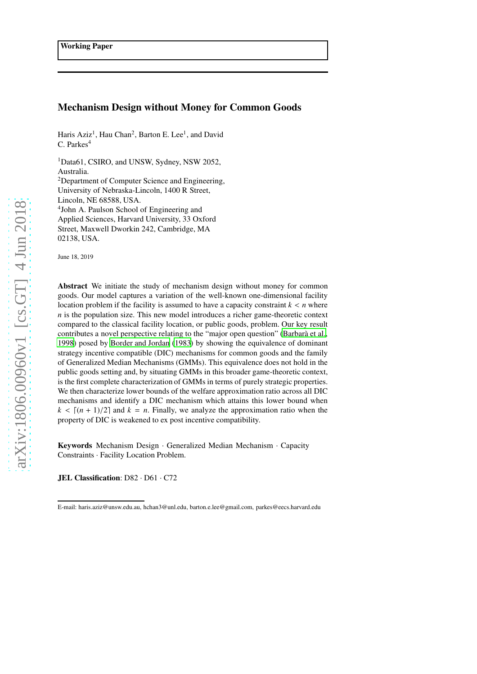# Mechanism Design without Money for Common Goods

Haris Aziz<sup>1</sup>, Hau Chan<sup>2</sup>, Barton E. Lee<sup>1</sup>, and David C. Parkes<sup>4</sup>

<sup>1</sup>Data61, CSIRO, and UNSW, Sydney, NSW 2052, Australia. <sup>2</sup>Department of Computer Science and Engineering, University of Nebraska-Lincoln, 1400 R Street, Lincoln, NE 68588, USA. 4 John A. Paulson School of Engineering and Applied Sciences, Harvard University, 33 Oxford Street, Maxwell Dworkin 242, Cambridge, MA 02138, USA.

June 18, 2019

Abstract We initiate the study of mechanism design without money for common goods. Our model captures a variation of the well-known one-dimensional facility location problem if the facility is assumed to have a capacity constraint  $k < n$  where *n* is the population size. This new model introduces a richer game-theoretic context compared to the classical facility location, or public goods, problem. Our key result contributes a novel perspective relating to the "major open question" (Barbarà et al., [1998\)](#page-31-0) posed by [Border and Jordan \(1983\)](#page-31-1) by showing the equivalence of dominant strategy incentive compatible (DIC) mechanisms for common goods and the family of Generalized Median Mechanisms (GMMs). This equivalence does not hold in the public goods setting and, by situating GMMs in this broader game-theoretic context, is the first complete characterization of GMMs in terms of purely strategic properties. We then characterize lower bounds of the welfare approximation ratio across all DIC mechanisms and identify a DIC mechanism which attains this lower bound when  $k < [(n + 1)/2]$  and  $k = n$ . Finally, we analyze the approximation ratio when the property of DIC is weakened to ex post incentive compatibility.

Keywords Mechanism Design · Generalized Median Mechanism · Capacity Constraints · Facility Location Problem.

JEL Classification: D82 · D61 · C72

E-mail: haris.aziz@unsw.edu.au, hchan3@unl.edu, barton.e.lee@gmail.com, parkes@eecs.harvard.edu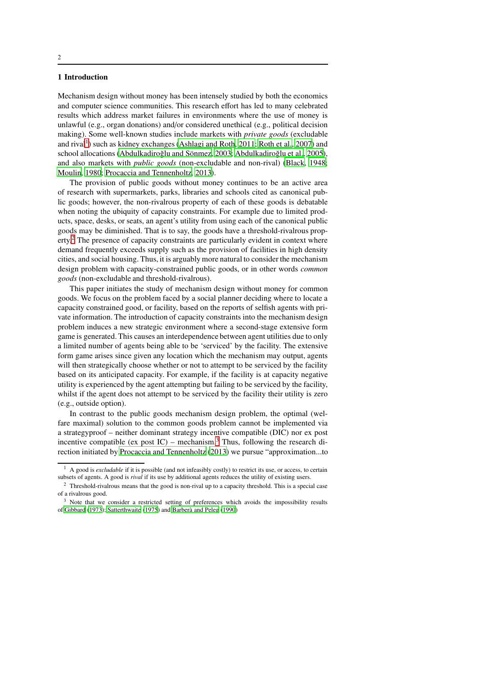## 1 Introduction

Mechanism design without money has been intensely studied by both the economics and computer science communities. This research effort has led to many celebrated results which address market failures in environments where the use of money is unlawful (e.g., organ donations) and/or considered unethical (e.g., political decision making). Some well-known studies include markets with *private goods* (excludable and rival<sup>[1](#page-1-0)</sup>) such as kidney exchanges [\(Ashlagi and Roth](#page-31-2), [2011;](#page-31-2) [Roth et al.](#page-32-0), [2007\)](#page-32-0) and school allocations (Abdulkadiroğlu and Sönmez, 2003; Abdulkadiroğlu et al., [2005\)](#page-30-0), and also markets with *public goods* (non-excludable and non-rival) [\(Black, 1948;](#page-31-4) [Moulin, 1980](#page-31-5); [Procaccia and Tennenholtz, 2013\)](#page-31-6).

The provision of public goods without money continues to be an active area of research with supermarkets, parks, libraries and schools cited as canonical public goods; however, the non-rivalrous property of each of these goods is debatable when noting the ubiquity of capacity constraints. For example due to limited products, space, desks, or seats, an agent's utility from using each of the canonical public goods may be diminished. That is to say, the goods have a threshold-rivalrous property.[2](#page-1-1) The presence of capacity constraints are particularly evident in context where demand frequently exceeds supply such as the provision of facilities in high density cities, and social housing. Thus, it is arguably more natural to consider the mechanism design problem with capacity-constrained public goods, or in other words *common goods* (non-excludable and threshold-rivalrous).

This paper initiates the study of mechanism design without money for common goods. We focus on the problem faced by a social planner deciding where to locate a capacity constrained good, or facility, based on the reports of selfish agents with private information. The introduction of capacity constraints into the mechanism design problem induces a new strategic environment where a second-stage extensive form game is generated. This causes an interdependence between agent utilities due to only a limited number of agents being able to be 'serviced' by the facility. The extensive form game arises since given any location which the mechanism may output, agents will then strategically choose whether or not to attempt to be serviced by the facility based on its anticipated capacity. For example, if the facility is at capacity negative utility is experienced by the agent attempting but failing to be serviced by the facility, whilst if the agent does not attempt to be serviced by the facility their utility is zero (e.g., outside option).

In contrast to the public goods mechanism design problem, the optimal (welfare maximal) solution to the common goods problem cannot be implemented via a strategyproof – neither dominant strategy incentive compatible (DIC) nor ex post incentive compatible (ex post  $IC$ ) – mechanism.<sup>[3](#page-1-2)</sup> Thus, following the research direction initiated by [Procaccia and Tennenholtz \(2013\)](#page-31-6) we pursue "approximation...to

<span id="page-1-0"></span><sup>&</sup>lt;sup>1</sup> A good is *excludable* if it is possible (and not infeasibly costly) to restrict its use, or access, to certain subsets of agents. A good is *rival* if its use by additional agents reduces the utility of existing users.

<span id="page-1-1"></span><sup>&</sup>lt;sup>2</sup> Threshold-rivalrous means that the good is non-rival up to a capacity threshold. This is a special case of a rivalrous good.

<span id="page-1-2"></span><sup>&</sup>lt;sup>3</sup> Note that we consider a restricted setting of preferences which avoids the impossibility results of [Gibbard \(1973](#page-31-7)); [Satterthwaite \(1975\)](#page-32-1) and Barberà and Peleg (1990)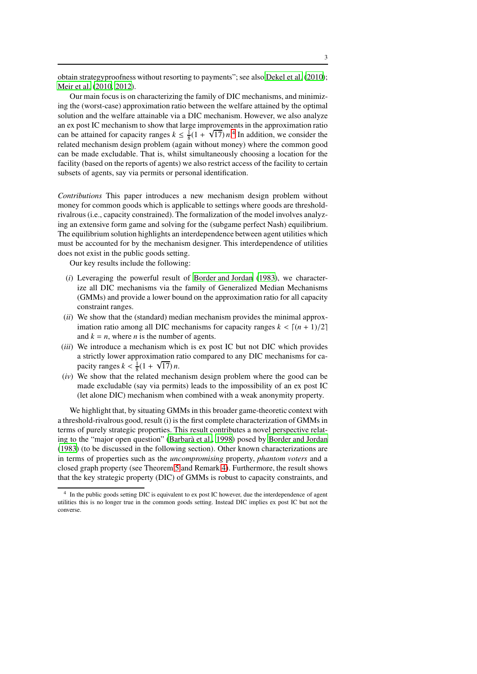obtain strategyproofness without resorting to payments"; see also [Dekel et al.](#page-31-9) [\(2010\)](#page-31-9); [Meir et al. \(2010,](#page-31-10) [2012\)](#page-31-11).

Our main focus is on characterizing the family of DIC mechanisms, and minimizing the (worst-case) approximation ratio between the welfare attained by the optimal solution and the welfare attainable via a DIC mechanism. However, we also analyze an ex post IC mechanism to show that large improvements in the approximation ratio can be attained for capacity ranges  $k \leq \frac{1}{8}(1 + \sqrt{17})n^4$  $k \leq \frac{1}{8}(1 + \sqrt{17})n^4$  In addition, we consider the related mechanism design problem (again without money) where the common good can be made excludable. That is, whilst simultaneously choosing a location for the facility (based on the reports of agents) we also restrict access of the facility to certain subsets of agents, say via permits or personal identification.

*Contributions* This paper introduces a new mechanism design problem without money for common goods which is applicable to settings where goods are thresholdrivalrous (i.e., capacity constrained). The formalization of the model involves analyzing an extensive form game and solving for the (subgame perfect Nash) equilibrium. The equilibrium solution highlights an interdependence between agent utilities which must be accounted for by the mechanism designer. This interdependence of utilities does not exist in the public goods setting.

Our key results include the following:

- (*i*) Leveraging the powerful result of [Border and Jordan \(1983\)](#page-31-1), we characterize all DIC mechanisms via the family of Generalized Median Mechanisms (GMMs) and provide a lower bound on the approximation ratio for all capacity constraint ranges.
- (*ii*) We show that the (standard) median mechanism provides the minimal approximation ratio among all DIC mechanisms for capacity ranges  $k < [(n + 1)/2]$ and  $k = n$ , where *n* is the number of agents.
- (*iii*) We introduce a mechanism which is ex post IC but not DIC which provides a strictly lower approximation ratio compared to any DIC mechanisms for capacity ranges  $k < \frac{1}{8}(1 + \sqrt{17})n$ .
- (*iv*) We show that the related mechanism design problem where the good can be made excludable (say via permits) leads to the impossibility of an ex post IC (let alone DIC) mechanism when combined with a weak anonymity property.

We highlight that, by situating GMMs in this broader game-theoretic context with a threshold-rivalrous good, result (i) is the first complete characterization of GMMs in terms of purely strategic properties. This result contributes a novel perspective relat-ing to the "major open question" (Barbarà et al., [1998\)](#page-31-0) posed by [Border and Jordan](#page-31-1) [\(1983\)](#page-31-1) (to be discussed in the following section). Other known characterizations are in terms of properties such as the *uncompromising* property, *phantom voters* and a closed graph property (see Theorem [5](#page-15-0) and Remark [4\)](#page-16-0). Furthermore, the result shows that the key strategic property (DIC) of GMMs is robust to capacity constraints, and

<span id="page-2-0"></span><sup>4</sup> In the public goods setting DIC is equivalent to ex post IC however, due the interdependence of agent utilities this is no longer true in the common goods setting. Instead DIC implies ex post IC but not the converse.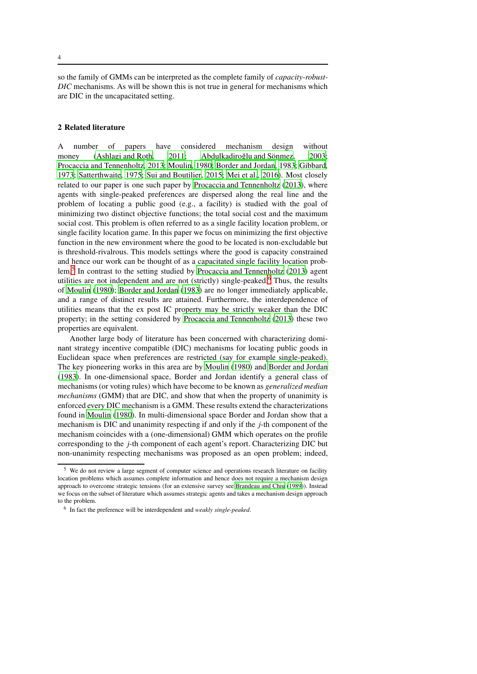so the family of GMMs can be interpreted as the complete family of *capacity-robust-DIC* mechanisms. As will be shown this is not true in general for mechanisms which are DIC in the uncapacitated setting.

## 2 Related literature

A number of papers have considered mechanism design without money [\(Ashlagi and Roth, 2011;](#page-31-2) Abdulkadiroğlu and Sönmez, 2003; [Procaccia and Tennenholtz, 2013](#page-31-6); [Moulin](#page-31-5), [1980](#page-31-5); [Border and Jordan](#page-31-1), [1983](#page-31-1); [Gibbard](#page-31-7), [1973;](#page-31-7) [Satterthwaite, 1975;](#page-32-1) [Sui and Boutilier](#page-32-2), [2015;](#page-32-2) [Mei et al.](#page-31-12), [2016](#page-31-12)). Most closely related to our paper is one such paper by [Procaccia and Tennenholtz](#page-31-6) [\(2013\)](#page-31-6), where agents with single-peaked preferences are dispersed along the real line and the problem of locating a public good (e.g., a facility) is studied with the goal of minimizing two distinct objective functions; the total social cost and the maximum social cost. This problem is often referred to as a single facility location problem, or single facility location game. In this paper we focus on minimizing the first objective function in the new environment where the good to be located is non-excludable but is threshold-rivalrous. This models settings where the good is capacity constrained and hence our work can be thought of as a capacitated single facility location problem.[5](#page-3-0) In contrast to the setting studied by [Procaccia and Tennenholtz \(2013\)](#page-31-6) agent utilities are not independent and are not (strictly) single-peaked.<sup>[6](#page-3-1)</sup> Thus, the results of [Moulin \(1980\)](#page-31-5); [Border and Jordan](#page-31-1) [\(1983\)](#page-31-1) are no longer immediately applicable, and a range of distinct results are attained. Furthermore, the interdependence of utilities means that the ex post IC property may be strictly weaker than the DIC property; in the setting considered by [Procaccia and Tennenholtz \(2013](#page-31-6)) these two properties are equivalent.

Another large body of literature has been concerned with characterizing dominant strategy incentive compatible (DIC) mechanisms for locating public goods in Euclidean space when preferences are restricted (say for example single-peaked). The key pioneering works in this area are by [Moulin](#page-31-5) [\(1980\)](#page-31-5) and [Border and Jordan](#page-31-1) [\(1983\)](#page-31-1). In one-dimensional space, Border and Jordan identify a general class of mechanisms (or voting rules) which have become to be known as *generalized median mechanisms* (GMM) that are DIC, and show that when the property of unanimity is enforced every DIC mechanism is a GMM. These results extend the characterizations found in [Moulin \(1980\)](#page-31-5). In multi-dimensional space Border and Jordan show that a mechanism is DIC and unanimity respecting if and only if the *j*-th component of the mechanism coincides with a (one-dimensional) GMM which operates on the profile corresponding to the *j*-th component of each agent's report. Characterizing DIC but non-unanimity respecting mechanisms was proposed as an open problem; indeed,

<span id="page-3-0"></span><sup>5</sup> We do not review a large segment of computer science and operations research literature on facility location problems which assumes complete information and hence does not require a mechanism design approach to overcome strategic tensions (for an extensive survey see [Brandeau and Chiu \(1989](#page-31-13))). Instead we focus on the subset of literature which assumes strategic agents and takes a mechanism design approach to the problem.

<span id="page-3-1"></span><sup>6</sup> In fact the preference will be interdependent and *weakly single-peaked*.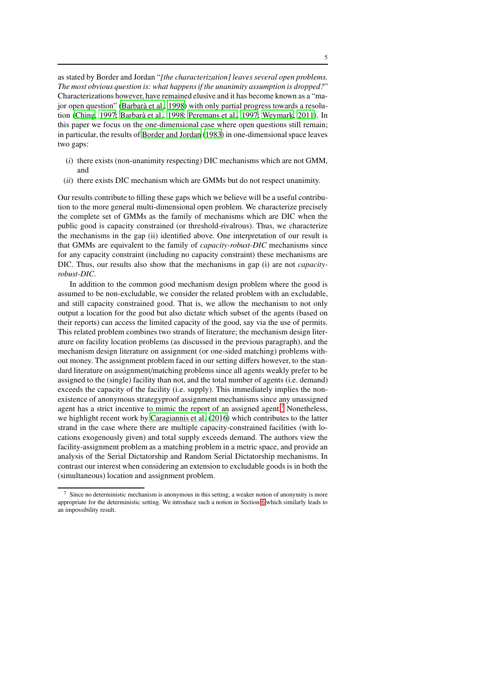as stated by Border and Jordan "*[the characterization] leaves several open problems. The most obvious question is: what happens if the unanimity assumption is dropped?*" Characterizations however, have remained elusive and it has become known as a "major open question" (Barbarà et al., 1998) with only partial progress towards a resolution [\(Ching, 1997](#page-31-14); [Barbar`a et al., 1998](#page-31-0); [Peremans et al., 1997;](#page-31-15) [Weymark, 2011\)](#page-32-3). In this paper we focus on the one-dimensional case where open questions still remain; in particular, the results of [Border and Jordan \(1983](#page-31-1)) in one-dimensional space leaves two gaps:

- (*i*) there exists (non-unanimity respecting) DIC mechanisms which are not GMM, and
- (*ii*) there exists DIC mechanism which are GMMs but do not respect unanimity.

Our results contribute to filling these gaps which we believe will be a useful contribution to the more general multi-dimensional open problem. We characterize precisely the complete set of GMMs as the family of mechanisms which are DIC when the public good is capacity constrained (or threshold-rivalrous). Thus, we characterize the mechanisms in the gap (ii) identified above. One interpretation of our result is that GMMs are equivalent to the family of *capacity-robust-DIC* mechanisms since for any capacity constraint (including no capacity constraint) these mechanisms are DIC. Thus, our results also show that the mechanisms in gap (i) are not *capacityrobust-DIC*.

In addition to the common good mechanism design problem where the good is assumed to be non-excludable, we consider the related problem with an excludable, and still capacity constrained good. That is, we allow the mechanism to not only output a location for the good but also dictate which subset of the agents (based on their reports) can access the limited capacity of the good, say via the use of permits. This related problem combines two strands of literature; the mechanism design literature on facility location problems (as discussed in the previous paragraph), and the mechanism design literature on assignment (or one-sided matching) problems without money. The assignment problem faced in our setting differs however, to the standard literature on assignment/matching problems since all agents weakly prefer to be assigned to the (single) facility than not, and the total number of agents (i.e. demand) exceeds the capacity of the facility (i.e. supply). This immediately implies the nonexistence of anonymous strategyproof assignment mechanisms since any unassigned agent has a strict incentive to mimic the report of an assigned agent.<sup>[7](#page-4-0)</sup> Nonetheless, we highlight recent work by [Caragiannis et al. \(2016](#page-31-16)) which contributes to the latter strand in the case where there are multiple capacity-constrained facilities (with locations exogenously given) and total supply exceeds demand. The authors view the facility-assignment problem as a matching problem in a metric space, and provide an analysis of the Serial Dictatorship and Random Serial Dictatorship mechanisms. In contrast our interest when considering an extension to excludable goods is in both the (simultaneous) location and assignment problem.

<span id="page-4-0"></span>Since no deterministic mechanism is anonymous in this setting, a weaker notion of anonymity is more appropriate for the deterministic setting. We introduce such a notion in Section [6](#page-28-0) which similarly leads to an impossibility result.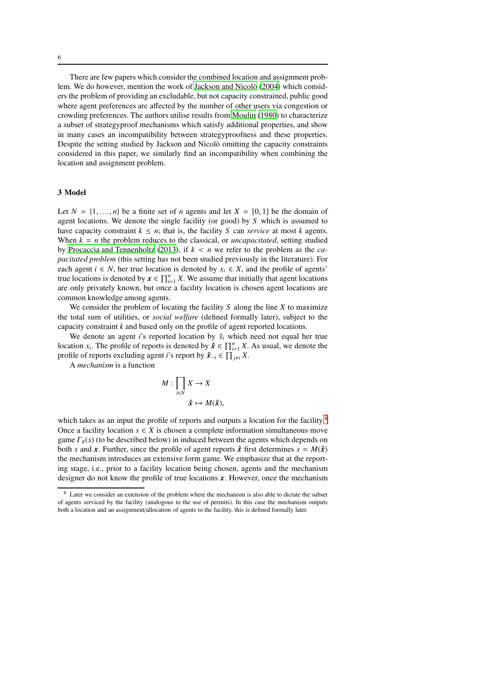There are few papers which consider the combined location and assignment prob-lem. We do however, mention the work of Jackson and Nicolò [\(2004\)](#page-31-17) which considers the problem of providing an excludable, but not capacity constrained, public good where agent preferences are affected by the number of other users via congestion or crowding preferences. The authors utilise results from [Moulin](#page-31-5) [\(1980\)](#page-31-5) to characterize a subset of strategyproof mechanisms which satisfy additional properties, and show in many cases an incompatibility between strategyproofness and these properties. Despite the setting studied by Jackson and Nicolò omitting the capacity constraints considered in this paper, we similarly find an incompatibility when combining the location and assignment problem.

## 3 Model

Let  $N = \{1, \ldots, n\}$  be a finite set of *n* agents and let  $X = [0, 1]$  be the domain of agent locations. We denote the single facility (or good) by *S* which is assumed to have capacity constraint  $k \leq n$ ; that is, the facility *S* can *service* at most *k* agents. When  $k = n$  the problem reduces to the classical, or *uncapacitated*, setting studied by [Procaccia and Tennenholtz](#page-31-6) [\(2013\)](#page-31-6), if *k* < *n* we refer to the problem as the *capacitated problem* (this setting has not been studied previously in the literature). For each agent *i* ∈ *N*, her true location is denoted by  $x_i$  ∈ *X*, and the profile of agents' true locations is denoted by  $x \in \prod_{i=1}^n X$ . We assume that initially that agent locations are only privately known, but once a facility location is chosen agent locations are common knowledge among agents.

We consider the problem of locating the facility *S* along the line *X* to maximize the total sum of utilities, or *social welfare* (defined formally later), subject to the capacity constraint *k* and based only on the profile of agent reported locations.

We denote an agent *i*'s reported location by  $\hat{x}_i$  which need not equal her true location *x<sub>i</sub>*. The profile of reports is denoted by  $\hat{x} \in \prod_{i=1}^{n} X$ . As usual, we denote the profile of reports excluding agent *i*'s report by  $\hat{\mathbf{x}}_{-i} \in \prod_{j \neq i} X$ .

A *mechanism* is a function

$$
M: \prod_{i\in N} X \to X
$$

$$
\hat{x} \mapsto M(\hat{x}),
$$

which takes as an input the profile of reports and outputs a location for the facility.<sup>[8](#page-5-0)</sup> Once a facility location  $s \in X$  is chosen a complete information simultaneous move game  $\Gamma_x(s)$  (to be described below) in induced between the agents which depends on both *s* and *x*. Further, since the profile of agent reports  $\hat{x}$  first determines  $s = M(\hat{x})$ the mechanism introduces an extensive form game. We emphasize that at the reporting stage, i.e., prior to a facility location being chosen, agents and the mechanism designer do not know the profile of true locations *x*. However, once the mechanism

<span id="page-5-0"></span>Later we consider an extension of the problem where the mechanism is also able to dictate the subset of agents serviced by the facility (analogous to the use of permits). In this case the mechanism outputs both a location and an assignment/allocation of agents to the facility, this is defined formally later.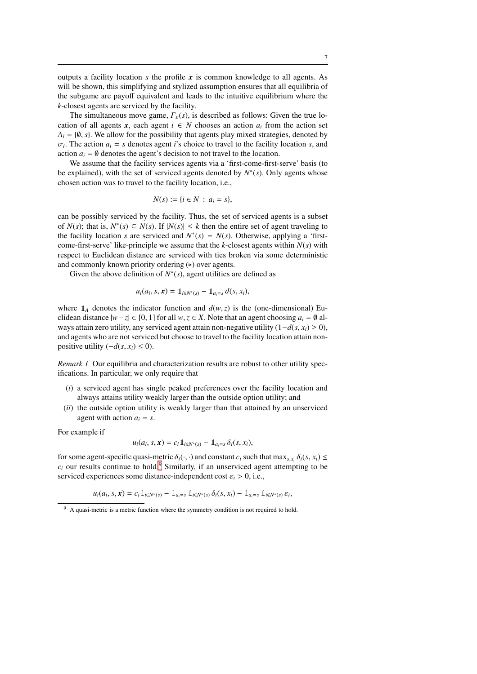outputs a facility location  $s$  the profile  $x$  is common knowledge to all agents. As will be shown, this simplifying and stylized assumption ensures that all equilibria of the subgame are payoff equivalent and leads to the intuitive equilibrium where the *k*-closest agents are serviced by the facility.

The simultaneous move game,  $\Gamma_x(s)$ , is described as follows: Given the true location of all agents *x*, each agent  $i \in N$  chooses an action *a<sub>i</sub>* from the action set  $A_i = \{0, s\}$ . We allow for the possibility that agents play mixed strategies, denoted by  $\sigma_i$ . The action  $a_i = s$  denotes agent *i*'s choice to travel to the facility location *s*, and action  $a_i = \emptyset$  denotes the agent's decision to not travel to the location.

We assume that the facility services agents via a 'first-come-first-serve' basis (to be explained), with the set of serviced agents denoted by  $N^*(s)$ . Only agents whose chosen action was to travel to the facility location, i.e.,

$$
N(s) := \{i \in N \, : \, a_i = s\},\
$$

can be possibly serviced by the facility. Thus, the set of serviced agents is a subset of *N*(*s*); that is, *N*<sup>∗</sup>(*s*) ⊆ *N*(*s*). If  $|N(s)|$  ≤ *k* then the entire set of agent traveling to the facility location *s* are serviced and  $N^*(s) = N(s)$ . Otherwise, applying a 'firstcome-first-serve' like-principle we assume that the *k*-closest agents within  $N(s)$  with respect to Euclidean distance are serviced with ties broken via some deterministic and commonly known priority ordering  $(\triangleright)$  over agents.

Given the above definition of  $N^*(s)$ , agent utilities are defined as

$$
u_i(a_i, s, \mathbf{x}) = \mathbb{1}_{i \in N^*(s)} - \mathbb{1}_{a_i = s} d(s, x_i),
$$

where  $\mathbb{1}_A$  denotes the indicator function and  $d(w, z)$  is the (one-dimensional) Euclidean distance  $|w-z| \in [0, 1]$  for all  $w, z \in X$ . Note that an agent choosing  $a_i = \emptyset$  always attain zero utility, any serviced agent attain non-negative utility (1−*d*(*s*, *xi*) ≥ 0), and agents who are not serviced but choose to travel to the facility location attain nonpositive utility  $(-d(s, x_i) \leq 0)$ .

*Remark 1* Our equilibria and characterization results are robust to other utility specifications. In particular, we only require that

- (*i*) a serviced agent has single peaked preferences over the facility location and always attains utility weakly larger than the outside option utility; and
- (*ii*) the outside option utility is weakly larger than that attained by an unserviced agent with action  $a_i = s$ .

For example if

$$
u_i(a_i,s,\mathbf{x})=c_i\,\mathbb{1}_{i\in\mathbb{N}^*(s)}-\mathbb{1}_{a_i=s}\,\delta_i(s,x_i),
$$

for some agent-specific quasi-metric  $\delta_i(\cdot, \cdot)$  and constant  $c_i$  such that  $\max_{s, x_i} \delta_i(s, x_i) \leq$  $c_i$  our results continue to hold.<sup>[9](#page-6-0)</sup> Similarly, if an unserviced agent attempting to be serviced experiences some distance-independent cost  $\varepsilon_i > 0$ , i.e.,

 $u_i(a_i, s, \mathbf{x}) = c_i \mathbb{1}_{i \in N^*(s)} - \mathbb{1}_{a_i = s} \mathbb{1}_{i \in N^*(s)} \delta_i(s, x_i) - \mathbb{1}_{a_i = s} \mathbb{1}_{i \notin N^*(s)} \varepsilon_i,$ 

<span id="page-6-0"></span><sup>&</sup>lt;sup>9</sup> A quasi-metric is a metric function where the symmetry condition is not required to hold.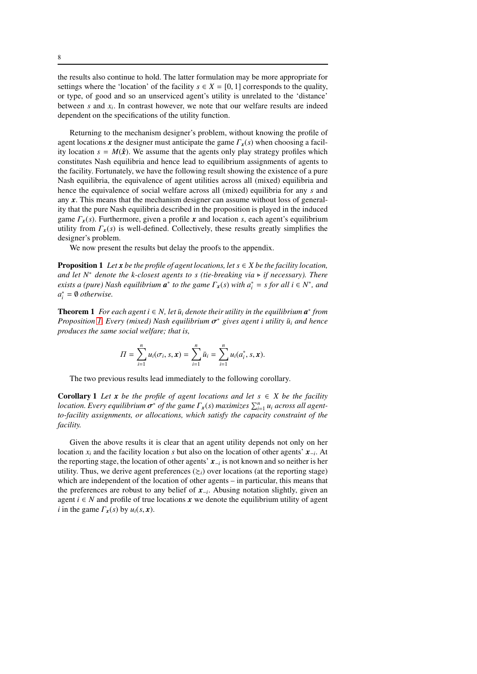the results also continue to hold. The latter formulation may be more appropriate for settings where the 'location' of the facility  $s \in X = [0, 1]$  corresponds to the quality, or type, of good and so an unserviced agent's utility is unrelated to the 'distance' between  $s$  and  $x_i$ . In contrast however, we note that our welfare results are indeed dependent on the specifications of the utility function.

Returning to the mechanism designer's problem, without knowing the profile of agent locations *x* the designer must anticipate the game Γ*x*(*s*) when choosing a facility location  $s = M(\hat{x})$ . We assume that the agents only play strategy profiles which constitutes Nash equilibria and hence lead to equilibrium assignments of agents to the facility. Fortunately, we have the following result showing the existence of a pure Nash equilibria, the equivalence of agent utilities across all (mixed) equilibria and hence the equivalence of social welfare across all (mixed) equilibria for any *s* and any *x*. This means that the mechanism designer can assume without loss of generality that the pure Nash equilibria described in the proposition is played in the induced game Γ*x*(*s*). Furthermore, given a profile *x* and location *s*, each agent's equilibrium utility from  $\Gamma_{\bf x}(s)$  is well-defined. Collectively, these results greatly simplifies the designer's problem.

<span id="page-7-0"></span>We now present the results but delay the proofs to the appendix.

**Proposition 1** *Let*  $x$  *be the profile of agent locations, let*  $s \in X$  *be the facility location, and let*  $N^*$  *denote the k-closest agents to s (tie-breaking via* ► *if necessary). There exists a (pure)* Nash equilibrium  $a^*$  to the game  $\Gamma_x(s)$  with  $a_i^* = s$  for all  $i \in N^*$ , and *a* ∗ *<sup>i</sup>* = ∅ *otherwise.*

<span id="page-7-1"></span>**Theorem 1** *For each agent i*  $\in$  *N*, let  $\bar{u}_i$  denote their utility in the equilibrium  $a^*$  from  $P$ *roposition [1.](#page-7-0) Every (mixed) Nash equilibrium*  $\sigma^*$  gives agent *i utility*  $\bar{u}_i$  *and hence produces the same social welfare; that is,*

$$
\Pi = \sum_{i=1}^n u_i(\sigma_i, s, \mathbf{x}) = \sum_{i=1}^n \bar{u}_i = \sum_{i=1}^n u_i(a_i^*, s, \mathbf{x}).
$$

<span id="page-7-2"></span>The two previous results lead immediately to the following corollary.

**Corollary 1** *Let*  $x$  *be the profile of agent locations and let*  $s \in X$  *be the facility location. Every equilibrium*  $\sigma^*$  *of the game*  $\Gamma_x(s)$  *maximizes*  $\sum_{i=1}^n u_i$  *across all agentto-facility assignments, or allocations, which satisfy the capacity constraint of the facility.*

Given the above results it is clear that an agent utility depends not only on her location *x<sup>i</sup>* and the facility location *s* but also on the location of other agents' *x*−*<sup>i</sup>* . At the reporting stage, the location of other agents' *x*−*<sup>i</sup>* is not known and so neither is her utility. Thus, we derive agent preferences  $(\geq_i)$  over locations (at the reporting stage) which are independent of the location of other agents – in particular, this means that the preferences are robust to any belief of *x*−*<sup>i</sup>* . Abusing notation slightly, given an agent  $i \in N$  and profile of true locations  $x$  we denote the equilibrium utility of agent *i* in the game  $\Gamma_x(s)$  by  $u_i(s, x)$ .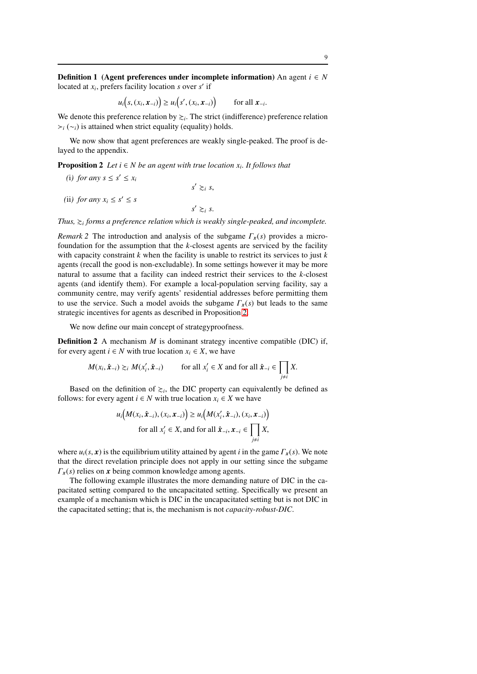**Definition 1** (Agent preferences under incomplete information) An agent  $i \in N$ located at *x<sup>i</sup>* , prefers facility location *s* over *s* ′ if

$$
u_i(s,(x_i,\mathbf{x}_{-i})) \geq u_i(s',(x_i,\mathbf{x}_{-i})) \qquad \text{for all } \mathbf{x}_{-i}.
$$

We denote this preference relation by  $\gtrsim$ <sub>*i*</sub>. The strict (indifference) preference relation ≻*<sup>i</sup>* (∼*i*) is attained when strict equality (equality) holds.

<span id="page-8-0"></span>We now show that agent preferences are weakly single-peaked. The proof is delayed to the appendix.

Proposition 2 *Let i* ∈ *N be an agent with true location x<sup>i</sup> . It follows that*

(i) for any  $s \leq s' \leq x_i$ 

(ii*)* for any  $x_i \leq s' \leq s$ 

Thus,  $\gtrsim$ <sub>*i*</sub> forms a preference relation which is weakly single-peaked, and incomplete.

 $s' \gtrsim_i s$ ,

 $s' \gtrsim_i s$ .

*Remark 2* The introduction and analysis of the subgame Γ*x*(*s*) provides a microfoundation for the assumption that the *k*-closest agents are serviced by the facility with capacity constraint *k* when the facility is unable to restrict its services to just *k* agents (recall the good is non-excludable). In some settings however it may be more natural to assume that a facility can indeed restrict their services to the *k*-closest agents (and identify them). For example a local-population serving facility, say a community centre, may verify agents' residential addresses before permitting them to use the service. Such a model avoids the subgame  $\Gamma_r(s)$  but leads to the same strategic incentives for agents as described in Proposition [2.](#page-8-0)

We now define our main concept of strategyproofness.

**Definition 2** A mechanism *M* is dominant strategy incentive compatible (DIC) if, for every agent  $i \in N$  with true location  $x_i \in X$ , we have

$$
M(x_i, \hat{\mathbf{x}}_{-i}) \gtrsim_i M(x'_i, \hat{\mathbf{x}}_{-i}) \qquad \text{for all } x'_i \in X \text{ and for all } \hat{\mathbf{x}}_{-i} \in \prod_{j \neq i} X.
$$

Based on the definition of  $\geq_i$ , the DIC property can equivalently be defined as follows: for every agent  $i \in N$  with true location  $x_i \in X$  we have

$$
u_i\big(M(x_i, \hat{\mathbf{x}}_{-i}), (x_i, \mathbf{x}_{-i})\big) \ge u_i\big(M(x'_i, \hat{\mathbf{x}}_{-i}), (x_i, \mathbf{x}_{-i})\big)
$$
  
for all  $x'_i \in X$ , and for all  $\hat{\mathbf{x}}_{-i}, \mathbf{x}_{-i} \in \prod_{j \ne i} X$ ,

where  $u_i(s, x)$  is the equilibrium utility attained by agent *i* in the game  $\Gamma_x(s)$ . We note that the direct revelation principle does not apply in our setting since the subgame  $\Gamma_{\bf x}(s)$  relies on *x* being common knowledge among agents.

The following example illustrates the more demanding nature of DIC in the capacitated setting compared to the uncapacitated setting. Specifically we present an example of a mechanism which is DIC in the uncapacitated setting but is not DIC in the capacitated setting; that is, the mechanism is not *capacity-robust-DIC*.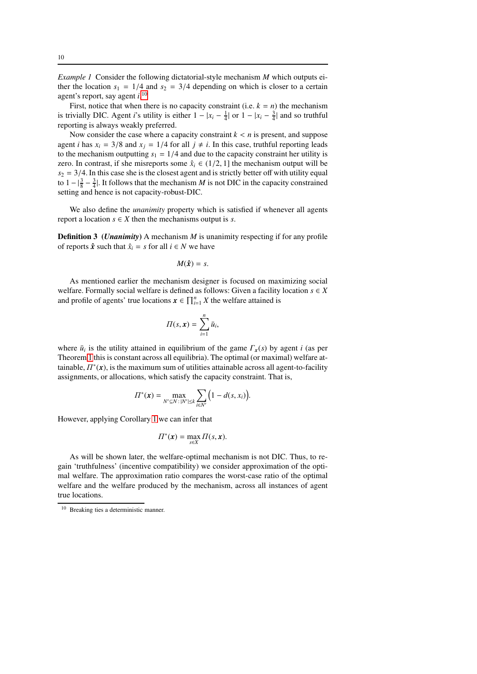*Example 1* Consider the following dictatorial-style mechanism *M* which outputs either the location  $s_1 = 1/4$  and  $s_2 = 3/4$  depending on which is closer to a certain agent's report, say agent *i*. [10](#page-9-0)

First, notice that when there is no capacity constraint (i.e.  $k = n$ ) the mechanism is trivially DIC. Agent *i*'s utility is either  $1 - |x_i - \frac{1}{4}|$  or  $1 - |x_i - \frac{3}{4}|$  and so truthful reporting is always weakly preferred.

Now consider the case where a capacity constraint  $k < n$  is present, and suppose agent *i* has  $x_i = 3/8$  and  $x_j = 1/4$  for all  $j \neq i$ . In this case, truthful reporting leads to the mechanism outputting  $s_1 = 1/4$  and due to the capacity constraint her utility is zero. In contrast, if she misreports some  $\hat{x}_i \in (1/2, 1]$  the mechanism output will be  $s_2 = 3/4$ . In this case she is the closest agent and is strictly better off with utility equal to  $1 - \left|\frac{3}{8} - \frac{3}{4}\right|$ . It follows that the mechanism *M* is not DIC in the capacity constrained setting and hence is not capacity-robust-DIC.

We also define the *unanimity* property which is satisfied if whenever all agents report a location  $s \in X$  then the mechanisms output is *s*.

**Definition 3** (*Unanimity*) A mechanism *M* is unanimity respecting if for any profile of reports  $\hat{x}$  such that  $\hat{x}_i = s$  for all  $i \in N$  we have

$$
M(\hat{x})=s.
$$

As mentioned earlier the mechanism designer is focused on maximizing social welfare. Formally social welfare is defined as follows: Given a facility location  $s \in X$ and profile of agents' true locations  $x \in \prod_{i=1}^{n} X$  the welfare attained is

$$
\Pi(s, \mathbf{x}) = \sum_{i=1}^n \bar{u}_i,
$$

where  $\bar{u}_i$  is the utility attained in equilibrium of the game  $\Gamma_x(s)$  by agent *i* (as per Theorem [1](#page-7-1) this is constant across all equilibria). The optimal (or maximal) welfare attainable,  $\Pi^*(x)$ , is the maximum sum of utilities attainable across all agent-to-facility assignments, or allocations, which satisfy the capacity constraint. That is,

$$
\Pi^*(\bm{x}) = \max_{N' \subseteq N : |N'| \leq k} \sum_{i \in N'} \Big( 1 - d(s, x_i) \Big).
$$

However, applying Corollary [1](#page-7-2) we can infer that

$$
\Pi^*(\mathbf{x}) = \max_{s \in X} \Pi(s, \mathbf{x}).
$$

As will be shown later, the welfare-optimal mechanism is not DIC. Thus, to regain 'truthfulness' (incentive compatibility) we consider approximation of the optimal welfare. The approximation ratio compares the worst-case ratio of the optimal welfare and the welfare produced by the mechanism, across all instances of agent true locations.

<span id="page-9-0"></span><sup>10</sup> Breaking ties a deterministic manner.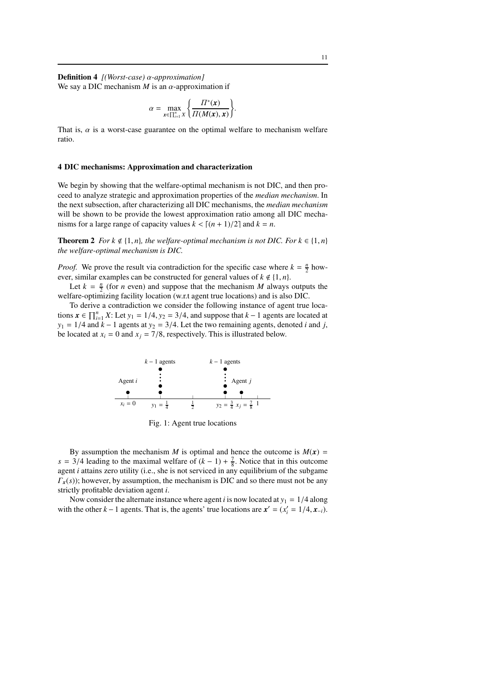Definition 4 *[(Worst-case)* α*-approximation]* We say a DIC mechanism  $M$  is an  $\alpha$ -approximation if

$$
\alpha = \max_{\mathbf{x} \in \prod_{i=1}^n X} \left\{ \frac{\Pi^*(\mathbf{x})}{\Pi(M(\mathbf{x}), \mathbf{x})} \right\}.
$$

That is,  $\alpha$  is a worst-case guarantee on the optimal welfare to mechanism welfare ratio.

## 4 DIC mechanisms: Approximation and characterization

We begin by showing that the welfare-optimal mechanism is not DIC, and then proceed to analyze strategic and approximation properties of the *median mechanism*. In the next subsection, after characterizing all DIC mechanisms, the *median mechanism* will be shown to be provide the lowest approximation ratio among all DIC mechanisms for a large range of capacity values  $k < [(n + 1)/2]$  and  $k = n$ .

**Theorem 2** *For k*  $\notin$  {1, *n*}*, the welfare-optimal mechanism is not DIC. For k*  $\in$  {1*, n*} *the welfare-optimal mechanism is DIC.*

*Proof.* We prove the result via contradiction for the specific case where  $k = \frac{n}{2}$  however, similar examples can be constructed for general values of  $k \notin \{1, n\}$ .

Let  $k = \frac{n}{2}$  (for *n* even) and suppose that the mechanism *M* always outputs the welfare-optimizing facility location (w.r.t agent true locations) and is also DIC.

To derive a contradiction we consider the following instance of agent true locations  $\mathbf{x} \in \prod_{i=1}^{n} X$ : Let  $y_1 = 1/4$ ,  $y_2 = 3/4$ , and suppose that  $k - 1$  agents are located at  $y_1 = 1/4$  and  $k - 1$  agents at  $y_2 = 3/4$ . Let the two remaining agents, denoted *i* and *j*, be located at  $x_i = 0$  and  $x_j = 7/8$ , respectively. This is illustrated below.



Fig. 1: Agent true locations

By assumption the mechanism *M* is optimal and hence the outcome is  $M(x)$  = *s* = 3/4 leading to the maximal welfare of  $(k - 1) + \frac{7}{8}$ . Notice that in this outcome agent *i* attains zero utility (i.e., she is not serviced in any equilibrium of the subgame  $\Gamma_{\bf{r}}(s)$ ; however, by assumption, the mechanism is DIC and so there must not be any strictly profitable deviation agent *i*.

Now consider the alternate instance where agent *i* is now located at  $y_1 = 1/4$  along with the other  $k - 1$  agents. That is, the agents' true locations are  $x' = (x'_i = 1/4, x_{-i})$ .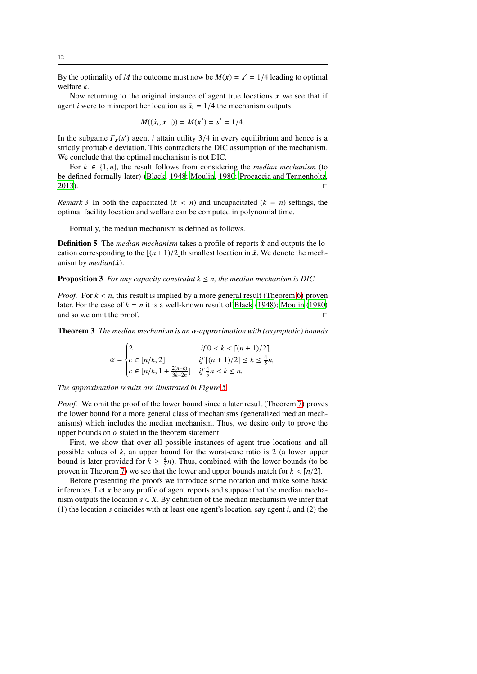By the optimality of *M* the outcome must now be  $M(x) = s' = 1/4$  leading to optimal welfare *k*.

Now returning to the original instance of agent true locations  $\boldsymbol{x}$  we see that if agent *i* were to misreport her location as  $\hat{x}_i = 1/4$  the mechanism outputs

$$
M((\hat{x}_i, x_{-i})) = M(x') = s' = 1/4.
$$

In the subgame  $\Gamma_x(s')$  agent *i* attain utility 3/4 in every equilibrium and hence is a strictly profitable deviation. This contradicts the DIC assumption of the mechanism. We conclude that the optimal mechanism is not DIC.

For  $k \in \{1, n\}$ , the result follows from considering the *median mechanism* (to be defined formally later) [\(Black](#page-31-4), [1948;](#page-31-4) [Moulin](#page-31-5), [1980;](#page-31-5) [Procaccia and Tennenholtz,](#page-31-6) [2013\)](#page-31-6). ⊓⊔

*Remark 3* In both the capacitated  $(k < n)$  and uncapacitated  $(k = n)$  settings, the optimal facility location and welfare can be computed in polynomial time.

Formally, the median mechanism is defined as follows.

**Definition 5** The *median mechanism* takes a profile of reports  $\hat{x}$  and outputs the location corresponding to the  $\lfloor (n+1)/2 \rfloor$ th smallest location in  $\hat{x}$ . We denote the mechanism by *median* $(\hat{\boldsymbol{x}})$ .

**Proposition 3** *For any capacity constraint*  $k \leq n$ *, the median mechanism is DIC.* 

*Proof.* For  $k < n$ , this result is implied by a more general result (Theorem [6\)](#page-19-0) proven later. For the case of  $k = n$  it is a well-known result of [Black \(1948\)](#page-31-4); [Moulin](#page-31-5) [\(1980\)](#page-31-5) and so we omit the proof. □

Theorem 3 *The median mechanism is an* α*-approximation with (asymptotic) bounds*

$$
\alpha = \begin{cases} 2 & \text{if } 0 < k < \lceil (n+1)/2 \rceil, \\ c \in [n/k, 2] & \text{if } \lceil (n+1)/2 \rceil \le k \le \frac{4}{5}n, \\ c \in [n/k, 1 + \frac{2(n-k)}{3k-2n}] & \text{if } \frac{4}{5}n < k \le n. \end{cases}
$$

*The approximation results are illustrated in Figure [5](#page-27-0)*

*Proof.* We omit the proof of the lower bound since a later result (Theorem [7\)](#page-20-0) proves the lower bound for a more general class of mechanisms (generalized median mechanisms) which includes the median mechanism. Thus, we desire only to prove the upper bounds on  $\alpha$  stated in the theorem statement.

First, we show that over all possible instances of agent true locations and all possible values of *k*, an upper bound for the worst-case ratio is 2 (a lower upper bound is later provided for  $k \geq \frac{4}{5}n$ ). Thus, combined with the lower bounds (to be proven in Theorem [7\)](#page-20-0) we see that the lower and upper bounds match for  $k < \lfloor n/2 \rfloor$ .

Before presenting the proofs we introduce some notation and make some basic inferences. Let *x* be any profile of agent reports and suppose that the median mechanism outputs the location  $s \in X$ . By definition of the median mechanism we infer that (1) the location *s* coincides with at least one agent's location, say agent *i*, and (2) the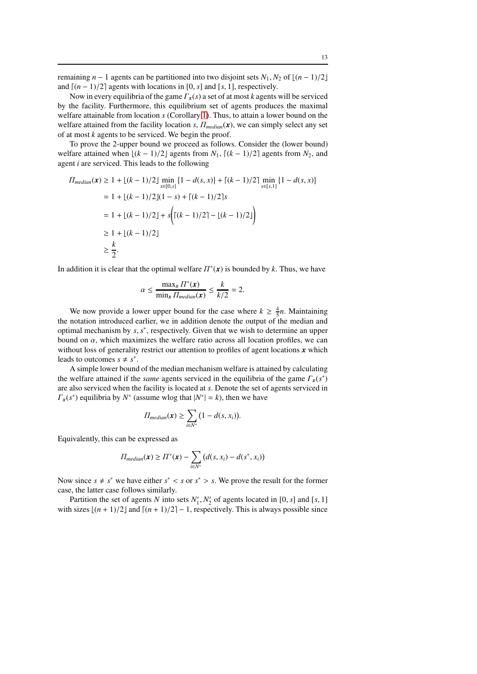remaining  $n - 1$  agents can be partitioned into two disjoint sets  $N_1, N_2$  of  $\lfloor (n - 1)/2 \rfloor$ and  $\lceil (n-1)/2 \rceil$  agents with locations in [0, *s*] and [*s*, 1], respectively.

Now in every equilibria of the game Γ*x*(*s*) a set of at most *k* agents will be serviced by the facility. Furthermore, this equilibrium set of agents produces the maximal welfare attainable from location *s* (Corollary [1\)](#page-7-2). Thus, to attain a lower bound on the welfare attained from the facility location  $s$ ,  $\Pi_{median}(x)$ , we can simply select any set of at most *k* agents to be serviced. We begin the proof.

To prove the 2-upper bound we proceed as follows. Consider the (lower bound) welfare attained when  $\lfloor (k - 1)/2 \rfloor$  agents from  $N_1$ ,  $\lfloor (k - 1)/2 \rfloor$  agents from  $N_2$ , and agent *i* are serviced. This leads to the following

$$
\Pi_{median}(\mathbf{x}) \ge 1 + \lfloor (k-1)/2 \rfloor \min_{x \in [0,s]} \{1 - d(s,x)\} + \lceil (k-1)/2 \rceil \min_{x \in [s,1]} \{1 - d(s,x)\}
$$
\n
$$
= 1 + \lfloor (k-1)/2 \rfloor (1-s) + \lceil (k-1)/2 \rceil s
$$
\n
$$
= 1 + \lfloor (k-1)/2 \rfloor + s \left( \lceil (k-1)/2 \rceil - \lfloor (k-1)/2 \rfloor \right)
$$
\n
$$
\ge 1 + \lfloor (k-1)/2 \rfloor
$$
\n
$$
\ge \frac{k}{2}.
$$

In addition it is clear that the optimal welfare  $\Pi^*(x)$  is bounded by k. Thus, we have

$$
\alpha \le \frac{\max_x \Pi^*(x)}{\min_x \Pi_{median}(x)} \le \frac{k}{k/2} = 2.
$$

We now provide a lower upper bound for the case where  $k \geq \frac{4}{5}n$ . Maintaining the notation introduced earlier, we in addition denote the output of the median and optimal mechanism by *s*, *s* ∗ , respectively. Given that we wish to determine an upper bound on  $\alpha$ , which maximizes the welfare ratio across all location profiles, we can without loss of generality restrict our attention to profiles of agent locations *x* which leads to outcomes  $s \neq s^*$ .

A simple lower bound of the median mechanism welfare is attained by calculating the welfare attained if the *same* agents serviced in the equilibria of the game Γ*x*(*s* ∗ ) are also serviced when the facility is located at *s*. Denote the set of agents serviced in  $\Gamma_x(s^*)$  equilibria by  $N^*$  (assume wlog that  $|N^*| = k$ ), then we have

$$
\Pi_{median}(\mathbf{x}) \geq \sum_{i \in N^*} (1 - d(s, x_i)).
$$

Equivalently, this can be expressed as

$$
\Pi_{median}(\boldsymbol{x}) \geq \Pi^*(\boldsymbol{x}) - \sum_{i \in N^*} \big(d(s, x_i) - d(s^*, x_i)\big)
$$

Now since  $s \neq s^*$  we have either  $s^* < s$  or  $s^* > s$ . We prove the result for the former case, the latter case follows similarly.

Partition the set of agents *N* into sets  $N'_1$ ,  $N'_2$  of agents located in [0, *s*] and [*s*, 1] with sizes  $\lfloor (n+1)/2 \rfloor$  and  $\lceil (n+1)/2 \rceil - 1$ , respectively. This is always possible since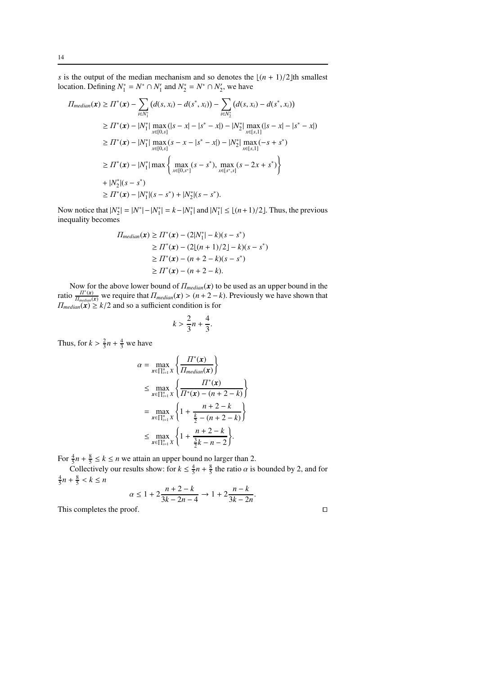*s* is the output of the median mechanism and so denotes the  $\lfloor (n + 1)/2 \rfloor$ th smallest location. Defining  $N_1^* = N^* \cap N_1'$  and  $N_2^* = N^* \cap N_2'$ , we have

$$
\Pi_{median}(\mathbf{x}) \ge \Pi^*(\mathbf{x}) - \sum_{i \in N_1^*} (d(s, x_i) - d(s^*, x_i)) - \sum_{i \in N_2^*} (d(s, x_i) - d(s^*, x_i))
$$
\n
$$
\ge \Pi^*(\mathbf{x}) - |N_1^*| \max_{x \in [0, s]} (|s - x| - |s^* - x|) - |N_2^*| \max_{x \in [s, 1]} (|s - x| - |s^* - x|)
$$
\n
$$
\ge \Pi^*(\mathbf{x}) - |N_1^*| \max_{x \in [0, s]} (s - x - |s^* - x|) - |N_2^*| \max_{x \in [s, 1]} (-s + s^*)
$$
\n
$$
\ge \Pi^*(\mathbf{x}) - |N_1^*| \max \left\{ \max_{x \in [0, s^*]} (s - s^*) , \max_{x \in [s^*, s]} (s - 2x + s^*) \right\}
$$
\n
$$
+ |N_2^*|(s - s^*)
$$
\n
$$
\ge \Pi^*(\mathbf{x}) - |N_1^*|(s - s^*) + |N_2^*|(s - s^*).
$$

Now notice that  $|N_2^*| = |N^*| - |N_1^*| = k - |N_1^*|$  and  $|N_1^*| \le \lfloor (n+1)/2 \rfloor$ . Thus, the previous inequality becomes

$$
\Pi_{median}(\mathbf{x}) \ge \Pi^*(\mathbf{x}) - (2|N_1^*| - k)(s - s^*)
$$
\n
$$
\ge \Pi^*(\mathbf{x}) - (2[(n + 1)/2] - k)(s - s^*)
$$
\n
$$
\ge \Pi^*(\mathbf{x}) - (n + 2 - k)(s - s^*)
$$
\n
$$
\ge \Pi^*(\mathbf{x}) - (n + 2 - k).
$$

Now for the above lower bound of  $\Pi_{median}(\mathbf{x})$  to be used as an upper bound in the ratio  $\frac{\Pi^*(x)}{\Pi_{median}(x)}$  we require that  $\Pi_{median}(x) > (n+2-k)$ . Previously we have shown that  $\Pi_{median}(\mathbf{x}) \ge k/2$  and so a sufficient condition is for

$$
k > \frac{2}{3}n + \frac{4}{3}.
$$

Thus, for  $k > \frac{2}{3}n + \frac{4}{3}$  we have

$$
\alpha = \max_{\mathbf{x} \in \prod_{i=1}^{n} X} \left\{ \frac{\prod^{*}(\mathbf{x})}{\prod_{median}(\mathbf{x})} \right\}
$$
  
\n
$$
\leq \max_{\mathbf{x} \in \prod_{i=1}^{n} X} \left\{ \frac{\prod^{*}(\mathbf{x})}{\prod^{*}(\mathbf{x}) - (n + 2 - k)} \right\}
$$
  
\n
$$
= \max_{\mathbf{x} \in \prod_{i=1}^{n} X} \left\{ 1 + \frac{n + 2 - k}{\frac{k}{2} - (n + 2 - k)} \right\}
$$
  
\n
$$
\leq \max_{\mathbf{x} \in \prod_{i=1}^{n} X} \left\{ 1 + \frac{n + 2 - k}{\frac{3}{2}k - n - 2} \right\}.
$$

For  $\frac{4}{5}n + \frac{8}{5} \le k \le n$  we attain an upper bound no larger than 2.

Collectively our results show: for  $k \leq \frac{4}{5}n + \frac{8}{5}$  the ratio  $\alpha$  is bounded by 2, and for  $\frac{4}{5}n + \frac{8}{5} < k \leq n$ 

$$
\alpha \le 1 + 2\frac{n+2-k}{3k-2n-4} \to 1 + 2\frac{n-k}{3k-2n}.
$$

This completes the proof.

$$
\square
$$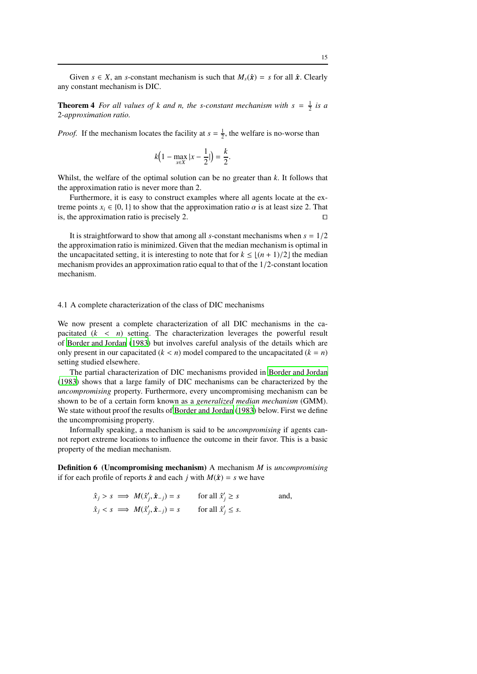Given  $s \in X$ , an *s*-constant mechanism is such that  $M_s(\hat{x}) = s$  for all  $\hat{x}$ . Clearly any constant mechanism is DIC.

**Theorem 4** For all values of k and n, the s-constant mechanism with  $s = \frac{1}{2}$  is a 2*-approximation ratio.*

*Proof.* If the mechanism locates the facility at  $s = \frac{1}{2}$ , the welfare is no-worse than

$$
k\Big(1 - \max_{x \in X} |x - \frac{1}{2}|\Big) = \frac{k}{2}.
$$

Whilst, the welfare of the optimal solution can be no greater than *k*. It follows that the approximation ratio is never more than 2.

Furthermore, it is easy to construct examples where all agents locate at the extreme points  $x_i \in \{0, 1\}$  to show that the approximation ratio  $\alpha$  is at least size 2. That is the approximation ratio is precisely 2 is, the approximation ratio is precisely 2. ⊓⊔

It is straightforward to show that among all *s*-constant mechanisms when *s* = 1/2 the approximation ratio is minimized. Given that the median mechanism is optimal in the uncapacitated setting, it is interesting to note that for  $k \leq \lfloor (n+1)/2 \rfloor$  the median mechanism provides an approximation ratio equal to that of the 1/2-constant location mechanism.

4.1 A complete characterization of the class of DIC mechanisms

We now present a complete characterization of all DIC mechanisms in the capacitated  $(k < n)$  setting. The characterization leverages the powerful result of [Border and Jordan](#page-31-1) [\(1983\)](#page-31-1) but involves careful analysis of the details which are only present in our capacitated  $(k < n)$  model compared to the uncapacitated  $(k = n)$ setting studied elsewhere.

The partial characterization of DIC mechanisms provided in [Border and Jordan](#page-31-1) [\(1983\)](#page-31-1) shows that a large family of DIC mechanisms can be characterized by the *uncompromising* property. Furthermore, every uncompromising mechanism can be shown to be of a certain form known as a *generalized median mechanism* (GMM). We state without proof the results of [Border and Jordan](#page-31-1) [\(1983\)](#page-31-1) below. First we define the uncompromising property.

Informally speaking, a mechanism is said to be *uncompromising* if agents cannot report extreme locations to influence the outcome in their favor. This is a basic property of the median mechanism.

Definition 6 (Uncompromising mechanism) A mechanism *M* is *uncompromising* if for each profile of reports  $\hat{x}$  and each *j* with  $M(\hat{x}) = s$  we have

$$
\hat{x}_j > s \implies M(\hat{x}'_j, \hat{x}_{-j}) = s \quad \text{for all } \hat{x}'_j \ge s \quad \text{and,}
$$
\n
$$
\hat{x}_j < s \implies M(\hat{x}'_j, \hat{x}_{-j}) = s \quad \text{for all } \hat{x}'_j \le s.
$$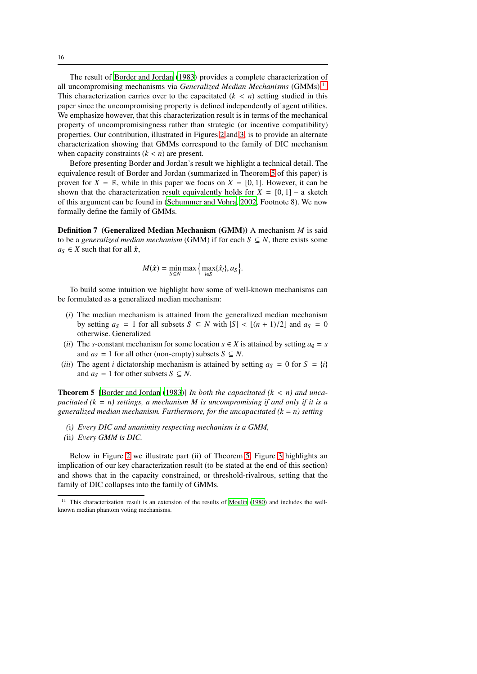The result of [Border and Jordan](#page-31-1) [\(1983\)](#page-31-1) provides a complete characterization of all uncompromising mechanisms via *Generalized Median Mechanisms* (GMMs).<sup>[11](#page-15-1)</sup> This characterization carries over to the capacitated  $(k < n)$  setting studied in this paper since the uncompromising property is defined independently of agent utilities. We emphasize however, that this characterization result is in terms of the mechanical property of uncompromisingness rather than strategic (or incentive compatibility) properties. Our contribution, illustrated in Figures [2](#page-16-1) and [3,](#page-16-1) is to provide an alternate characterization showing that GMMs correspond to the family of DIC mechanism when capacity constraints  $(k < n)$  are present.

Before presenting Border and Jordan's result we highlight a technical detail. The equivalence result of Border and Jordan (summarized in Theorem [5](#page-15-0) of this paper) is proven for  $X = \mathbb{R}$ , while in this paper we focus on  $X = [0, 1]$ . However, it can be shown that the characterization result equivalently holds for  $X = [0, 1]$  – a sketch of this argument can be found in [\(Schummer and Vohra, 2002,](#page-32-4) Footnote 8). We now formally define the family of GMMs.

Definition 7 (Generalized Median Mechanism (GMM)) A mechanism *M* is said to be a *generalized median mechanism* (GMM) if for each  $S \subseteq N$ , there exists some  $a_S \in X$  such that for all  $\hat{x}$ ,

$$
M(\hat{\boldsymbol{x}}) = \min_{S \subseteq N} \max \Big\{ \max_{i \in S} \{ \hat{x}_i \}, a_S \Big\}.
$$

To build some intuition we highlight how some of well-known mechanisms can be formulated as a generalized median mechanism:

- (*i*) The median mechanism is attained from the generalized median mechanism by setting  $a_S = 1$  for all subsets  $S \subseteq N$  with  $|S| < \lfloor (n+1)/2 \rfloor$  and  $a_S = 0$ otherwise. Generalized
- (*ii*) The *s*-constant mechanism for some location  $s \in X$  is attained by setting  $a_0 = s$ and  $a_S = 1$  for all other (non-empty) subsets  $S \subseteq N$ .
- (*iii*) The agent *i* dictatorship mechanism is attained by setting  $a_S = 0$  for  $S = \{i\}$ and  $a_S = 1$  for other subsets  $S \subseteq N$ .

<span id="page-15-0"></span>Theorem 5 [\[Border and Jordan](#page-31-1) [\(1983\)](#page-31-1)] *In both the capacitated (k* < *n) and uncapacitated (k* = *n) settings, a mechanism M is uncompromising if and only if it is a generalized median mechanism. Furthermore, for the uncapacitated (k* = *n) setting*

- *(*i*) Every DIC and unanimity respecting mechanism is a GMM,*
- *(*ii*) Every GMM is DIC.*

Below in Figure [2](#page-16-1) we illustrate part (ii) of Theorem [5.](#page-15-0) Figure [3](#page-16-1) highlights an implication of our key characterization result (to be stated at the end of this section) and shows that in the capacity constrained, or threshold-rivalrous, setting that the family of DIC collapses into the family of GMMs.

<span id="page-15-1"></span><sup>&</sup>lt;sup>11</sup> This characterization result is an extension of the results of [Moulin](#page-31-5) [\(1980](#page-31-5)) and includes the wellknown median phantom voting mechanisms.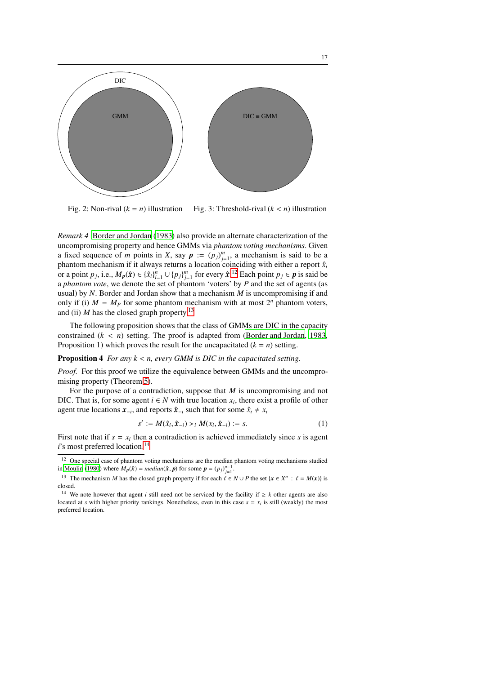<span id="page-16-1"></span>

Fig. 2: Non-rival  $(k = n)$  illustration Fig. 3: Threshold-rival  $(k < n)$  illustration

<span id="page-16-0"></span>*Remark 4* [Border and Jordan](#page-31-1) [\(1983\)](#page-31-1) also provide an alternate characterization of the uncompromising property and hence GMMs via *phantom voting mechanisms*. Given a fixed sequence of *m* points in *X*, say  $p := (p_j)_{j=1}^m$ , a mechanism is said to be a phantom mechanism if it always returns a location coinciding with either a report  $\hat{x}_i$ or a point  $p_j$ , i.e.,  $M_p(\hat{x}) \in {\{\hat{x}_i\}}_{i=1}^n \cup {p_j}\}_{j=1}^m$  for every  $\hat{x}$ .<sup>[12](#page-16-2)</sup> Each point  $p_j \in p$  is said be a *phantom vote*, we denote the set of phantom 'voters' by *P* and the set of agents (as usual) by *N*. Border and Jordan show that a mechanism *M* is uncompromising if and only if (i)  $M = M_p$  for some phantom mechanism with at most  $2^n$  phantom voters, and (ii) *M* has the closed graph property.<sup>[13](#page-16-3)</sup>

The following proposition shows that the class of GMMs are DIC in the capacity constrained  $(k < n)$  setting. The proof is adapted from [\(Border and Jordan](#page-31-1), [1983](#page-31-1), Proposition 1) which proves the result for the uncapacitated  $(k = n)$  setting.

## <span id="page-16-6"></span>Proposition 4 *For any k* < *n, every GMM is DIC in the capacitated setting.*

*Proof.* For this proof we utilize the equivalence between GMMs and the uncompromising property (Theorem [5\)](#page-15-0).

For the purpose of a contradiction, suppose that *M* is uncompromising and not DIC. That is, for some agent  $i \in N$  with true location  $x_i$ , there exist a profile of other agent true locations  $\mathbf{x}_{-i}$ , and reports  $\hat{\mathbf{x}}_{-i}$  such that for some  $\hat{x}_i \neq x_i$ 

<span id="page-16-5"></span>
$$
s' := M(\hat{x}_i, \hat{x}_{-i}) >_i M(x_i, \hat{x}_{-i}) := s.
$$
 (1)

First note that if  $s = x_i$  then a contradiction is achieved immediately since *s* is agent *i*'s most preferred location.<sup>[14](#page-16-4)</sup>

<span id="page-16-2"></span><sup>&</sup>lt;sup>12</sup> One special case of phantom voting mechanisms are the median phantom voting mechanisms studied in [Moulin \(1980](#page-31-5)) where  $M_p(\hat{x}) = \text{median}(\hat{x}, p)$  for some  $p = (p_j)_{j=1}^{n-1}$ .

<span id="page-16-3"></span><sup>&</sup>lt;sup>13</sup> The mechanism *M* has the closed graph property if for each  $\ell \in N \cup P$  the set  $\{x \in X^n : \ell = M(x)\}$  is closed.

<span id="page-16-4"></span><sup>&</sup>lt;sup>14</sup> We note however that agent *i* still need not be serviced by the facility if  $\geq k$  other agents are also located at *s* with higher priority rankings. Nonetheless, even in this case  $s = x_i$  is still (weakly) the most preferred location.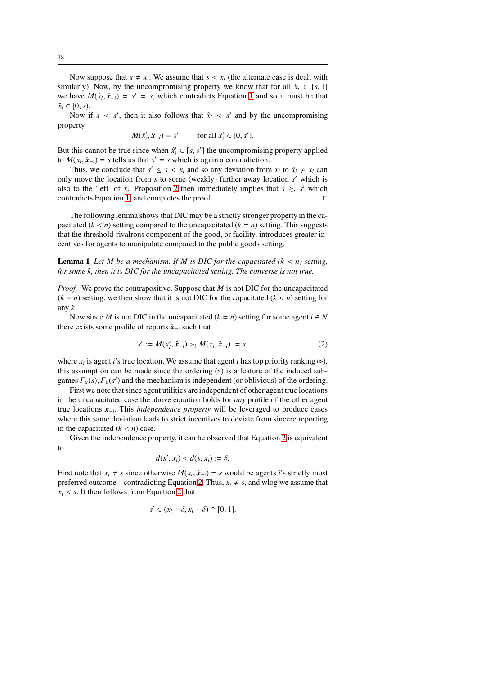Now suppose that  $s \neq x_i$ . We assume that  $s < x_i$  (the alternate case is dealt with similarly). Now, by the uncompromising property we know that for all  $\hat{x}_i \in [s, 1]$ we have  $M(\hat{x}_i, \hat{x}_{-i}) = s' = s$ , which contradicts Equation [1](#page-16-5) and so it must be that  $\hat{x}_i \in [0, s)$ .

Now if  $s < s'$ , then it also follows that  $\hat{x}_i < s'$  and by the uncompromising property

$$
M(\hat{x}'_i, \hat{\mathbf{x}}_{-i}) = s' \quad \text{for all } \hat{x}'_i \in [0, s'].
$$

But this cannot be true since when  $\hat{x}'_i \in [s, s']$  the uncompromising property applied to  $M(x_i, \hat{x}_{-i}) = s$  tells us that  $s' = s$  which is again a contradiction.

Thus, we conclude that  $s' \leq s < x_i$  and so any deviation from  $x_i$  to  $\hat{x}_i \neq x_i$  can only move the location from *s* to some (weakly) further away location *s* ′ which is also to the 'left' of  $x_i$ . Proposition [2](#page-8-0) then immediately implies that  $s \geq i$  *s'* which contradicts Equation [1,](#page-16-5) and completes the proof. ⊓⊔

The following lemma shows that DIC may be a strictly stronger property in the capacitated  $(k < n)$  setting compared to the uncapacitated  $(k = n)$  setting. This suggests that the threshold-rivalrous component of the good, or facility, introduces greater incentives for agents to manipulate compared to the public goods setting.

**Lemma 1** Let M be a mechanism. If M is DIC for the capacitated  $(k < n)$  setting, *for some k, then it is DIC for the uncapacitated setting. The converse is not true.*

*Proof.* We prove the contrapositive. Suppose that *M* is not DIC for the uncapacitated  $(k = n)$  setting, we then show that it is not DIC for the capacitated  $(k < n)$  setting for any *k*

Now since *M* is not DIC in the uncapacitated  $(k = n)$  setting for some agent  $i \in N$ there exists some profile of reports  $\hat{x}_{-i}$  such that

<span id="page-17-0"></span>
$$
s' := M(x'_i, \hat{x}_{-i}) >_i M(x_i, \hat{x}_{-i}) := s,
$$
\n(2)

where  $x_i$  is agent *i*'s true location. We assume that agent *i* has top priority ranking  $(\triangleright)$ , this assumption can be made since the ordering  $($   $)$  is a feature of the induced subgames  $\Gamma_x(s)$ ,  $\Gamma_x(s')$  and the mechanism is independent (or oblivious) of the ordering.

First we note that since agent utilities are independent of other agent true locations in the uncapacitated case the above equation holds for *any* profile of the other agent true locations *x*−*<sup>i</sup>* . This *independence property* will be leveraged to produce cases where this same deviation leads to strict incentives to deviate from sincere reporting in the capacitated  $(k < n)$  case.

Given the independence property, it can be observed that Equation [2](#page-17-0) is equivalent to

$$
d(s',x_i) < d(s,x_i) := \delta.
$$

First note that  $x_i \neq s$  since otherwise  $M(x_i, \hat{x}_{-i}) = s$  would be agents *i*'s strictly most preferred outcome – contradicting Equation [2.](#page-17-0) Thus,  $x_i \neq s$ , and wlog we assume that  $x_i$  < *s*. It then follows from Equation [2](#page-17-0) that

$$
s' \in (x_i - \delta, x_i + \delta) \cap [0, 1].
$$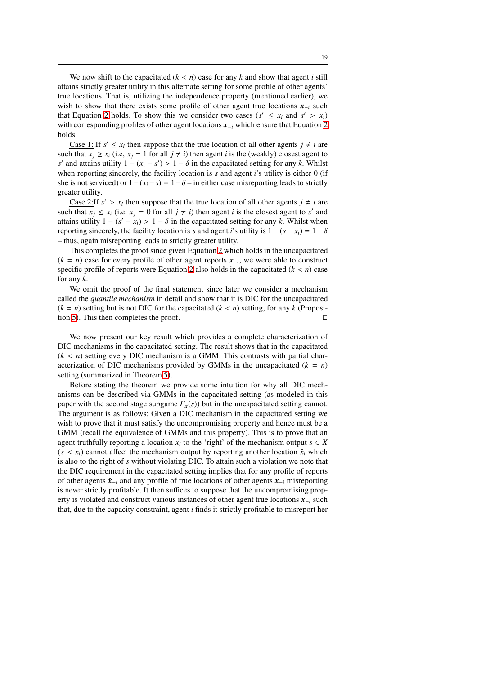We now shift to the capacitated  $(k < n)$  case for any  $k$  and show that agent  $i$  still attains strictly greater utility in this alternate setting for some profile of other agents' true locations. That is, utilizing the independence property (mentioned earlier), we wish to show that there exists some profile of other agent true locations *x*−*<sup>i</sup>* such that Equation [2](#page-17-0) holds. To show this we consider two cases  $(s' \le x_i \text{ and } s' > x_i)$ with corresponding profiles of other agent locations *x*−*<sup>i</sup>* which ensure that Equation [2](#page-17-0) holds.

Case 1: If  $s' \leq x_i$  then suppose that the true location of all other agents  $j \neq i$  are such that  $x_i \ge x_i$  (i.e,  $x_i = 1$  for all  $j \ne i$ ) then agent *i* is the (weakly) closest agent to *s*<sup>'</sup> and attains utility  $1 - (x_i - s') > 1 - \delta$  in the capacitated setting for any *k*. Whilst when reporting sincerely, the facility location is *s* and agent *i*'s utility is either 0 (if she is not serviced) or  $1-(x_i-s) = 1-\delta$  – in either case misreporting leads to strictly greater utility.

Case 2:If  $s' > x_i$  then suppose that the true location of all other agents  $j \neq i$  are such that  $x_j \le x_i$  (i.e.  $x_j = 0$  for all  $j \ne i$ ) then agent *i* is the closest agent to *s'* and attains utility  $1 - (s' - x_i) > 1 - \delta$  in the capacitated setting for any *k*. Whilst when reporting sincerely, the facility location is *s* and agent *i*'s utility is  $1 - (s - x_i) = 1 - \delta$ – thus, again misreporting leads to strictly greater utility.

This completes the proof since given Equation [2](#page-17-0) which holds in the uncapacitated  $(k = n)$  case for every profile of other agent reports  $x_{-i}$ , we were able to construct specific profile of reports were Equation [2](#page-17-0) also holds in the capacitated  $(k < n)$  case for any *k*.

We omit the proof of the final statement since later we consider a mechanism called the *quantile mechanism* in detail and show that it is DIC for the uncapacitated  $(k = n)$  setting but is not DIC for the capacitated  $(k < n)$  setting, for any *k* (Proposi-tion [5\)](#page-23-0). This then completes the proof. □

We now present our key result which provides a complete characterization of DIC mechanisms in the capacitated setting. The result shows that in the capacitated  $(k < n)$  setting every DIC mechanism is a GMM. This contrasts with partial characterization of DIC mechanisms provided by GMMs in the uncapacitated  $(k = n)$ setting (summarized in Theorem [5\)](#page-15-0).

Before stating the theorem we provide some intuition for why all DIC mechanisms can be described via GMMs in the capacitated setting (as modeled in this paper with the second stage subgame  $\Gamma_r(s)$ ) but in the uncapacitated setting cannot. The argument is as follows: Given a DIC mechanism in the capacitated setting we wish to prove that it must satisfy the uncompromising property and hence must be a GMM (recall the equivalence of GMMs and this property). This is to prove that an agent truthfully reporting a location  $x_i$  to the 'right' of the mechanism output  $s \in X$  $(s < x_i)$  cannot affect the mechanism output by reporting another location  $\hat{x}_i$  which is also to the right of *s* without violating DIC. To attain such a violation we note that the DIC requirement in the capacitated setting implies that for any profile of reports of other agents ˆ*x*−*<sup>i</sup>* and any profile of true locations of other agents *x*−*<sup>i</sup>* misreporting is never strictly profitable. It then suffices to suppose that the uncompromising property is violated and construct various instances of other agent true locations *x*−*<sup>i</sup>* such that, due to the capacity constraint, agent *i* finds it strictly profitable to misreport her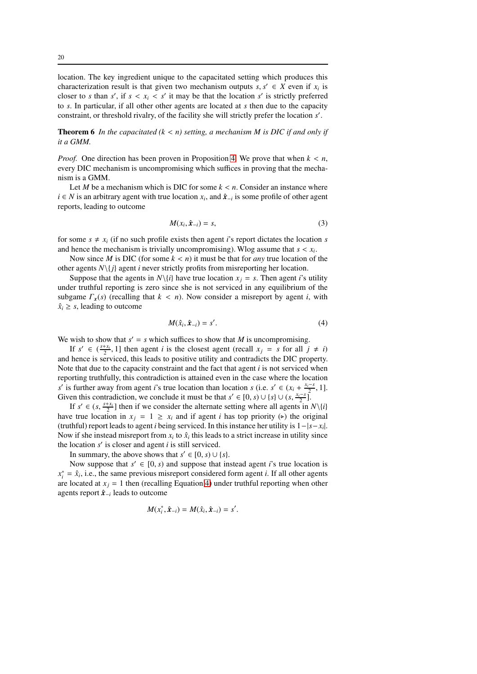location. The key ingredient unique to the capacitated setting which produces this characterization result is that given two mechanism outputs  $s, s' \in X$  even if  $x_i$  is closer to *s* than *s'*, if  $s < x_i < s'$  it may be that the location *s'* is strictly preferred to *s*. In particular, if all other other agents are located at *s* then due to the capacity constraint, or threshold rivalry, of the facility she will strictly prefer the location *s* ′ .

<span id="page-19-0"></span>Theorem 6 *In the capacitated (k* < *n) setting, a mechanism M is DIC if and only if it a GMM.*

*Proof.* One direction has been proven in Proposition [4.](#page-16-6) We prove that when *k* < *n*, every DIC mechanism is uncompromising which suffices in proving that the mechanism is a GMM.

Let *M* be a mechanism which is DIC for some  $k < n$ . Consider an instance where *i* ∈ *N* is an arbitrary agent with true location  $x_i$ , and  $\hat{\mathbf{x}}_{-i}$  is some profile of other agent reports, leading to outcome

<span id="page-19-2"></span>
$$
M(x_i, \hat{\mathbf{x}}_{-i}) = s,\tag{3}
$$

for some  $s \neq x_i$  (if no such profile exists then agent *i*'s report dictates the location *s* and hence the mechanism is trivially uncompromising). Wlog assume that *s* < *x<sup>i</sup>* .

Now since *M* is DIC (for some  $k < n$ ) it must be that for *any* true location of the other agents  $N\{j\}$  agent *i* never strictly profits from misreporting her location.

Suppose that the agents in  $N\{i\}$  have true location  $x_i = s$ . Then agent *i*'s utility under truthful reporting is zero since she is not serviced in any equilibrium of the subgame  $\Gamma_x(s)$  (recalling that  $k < n$ ). Now consider a misreport by agent *i*, with  $\hat{x}_i \geq s$ , leading to outcome

<span id="page-19-1"></span>
$$
M(\hat{x}_i, \hat{\mathbf{x}}_{-i}) = s'.\tag{4}
$$

We wish to show that  $s' = s$  which suffices to show that *M* is uncompromising.

If  $s' \in \left(\frac{s+x_i}{2}, 1\right]$  then agent *i* is the closest agent (recall  $x_j = s$  for all  $j \neq i$ ) and hence is serviced, this leads to positive utility and contradicts the DIC property. Note that due to the capacity constraint and the fact that agent *i* is not serviced when reporting truthfully, this contradiction is attained even in the case where the location *s*<sup>*s*</sup> is further away from agent *i*'s true location than location *s* (i.e.  $s' \in (x_i + \frac{x_i - s}{s_i}, 1]$ . Given this contradiction, we conclude it must be that  $s' \in [0, s) \cup \{s\} \cup (s, \frac{x_i - s}{2})$ .

If  $s' \in (s, \frac{s+x_i}{2}]$  then if we consider the alternate setting where all agents in  $N\setminus\{i\}$ have true location in  $x_j = 1 \ge x_i$  and if agent *i* has top priority ( $\triangleright$ ) the original (truthful) report leads to agent *i* being serviced. In this instance her utility is 1−|*s*−*x<sup>i</sup>* |. Now if she instead misreport from  $x_i$  to  $\hat{x}_i$  this leads to a strict increase in utility since the location *s* ′ is closer and agent *i* is still serviced.

In summary, the above shows that  $s' \in [0, s) \cup \{s\}.$ 

Now suppose that  $s' \in [0, s)$  and suppose that instead agent *i*'s true location is  $x_i^* = \hat{x}_i$ , i.e., the same previous misreport considered form agent *i*. If all other agents are located at  $x_j = 1$  then (recalling Equation [4\)](#page-19-1) under truthful reporting when other agents report ˆ*x*−*<sup>i</sup>* leads to outcome

$$
M(x_i^*, \hat{\boldsymbol{x}}_{-i}) = M(\hat{x}_i, \hat{\boldsymbol{x}}_{-i}) = s'.
$$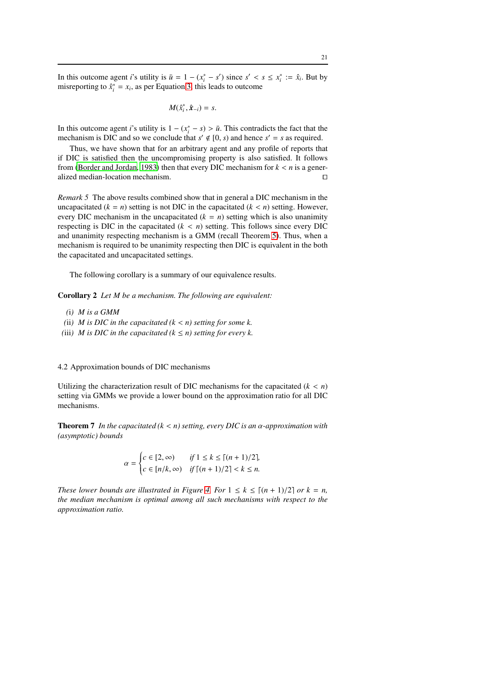In this outcome agent *i*'s utility is  $\bar{u} = 1 - (x_i^* - s')$  since  $s' < s \le x_i^* := \hat{x}_i$ . But by misreporting to  $\hat{x}^*_i = x_i$ , as per Equation [3,](#page-19-2) this leads to outcome

$$
M(\hat{x}_i^*, \hat{x}_{-i}) = s.
$$

In this outcome agent *i*'s utility is  $1 - (x_i^* - s) > \bar{u}$ . This contradicts the fact that the mechanism is DIC and so we conclude that  $s' \notin [0, s)$  and hence  $s' = s$  as required.

Thus, we have shown that for an arbitrary agent and any profile of reports that if DIC is satisfied then the uncompromising property is also satisfied. It follows from [\(Border and Jordan, 1983\)](#page-31-1) then that every DIC mechanism for  $k < n$  is a generalized median-location mechanism. ⊓⊔

*Remark 5* The above results combined show that in general a DIC mechanism in the uncapacitated  $(k = n)$  setting is not DIC in the capacitated  $(k < n)$  setting. However, every DIC mechanism in the uncapacitated  $(k = n)$  setting which is also unanimity respecting is DIC in the capacitated  $(k < n)$  setting. This follows since every DIC and unanimity respecting mechanism is a GMM (recall Theorem [5\)](#page-15-0). Thus, when a mechanism is required to be unanimity respecting then DIC is equivalent in the both the capacitated and uncapacitated settings.

The following corollary is a summary of our equivalence results.

Corollary 2 *Let M be a mechanism. The following are equivalent:*

- *(*i*) M is a GMM*
- (ii) *M* is DIC in the capacitated  $(k < n)$  setting for some k.
- *(iii) M is DIC in the capacitated*  $(k \le n)$  *setting for every k.*

4.2 Approximation bounds of DIC mechanisms

<span id="page-20-0"></span>Utilizing the characterization result of DIC mechanisms for the capacitated  $(k < n)$ setting via GMMs we provide a lower bound on the approximation ratio for all DIC mechanisms.

Theorem 7 *In the capacitated (k* < *n) setting, every DIC is an* α*-approximation with (asymptotic) bounds*

$$
\alpha = \begin{cases} c \in [2, \infty) & \text{if } 1 \le k \le \lceil (n+1)/2 \rceil, \\ c \in [n/k, \infty) & \text{if } \lceil (n+1)/2 \rceil < k \le n. \end{cases}
$$

*These lower bounds are illustrated in Figure [4.](#page-21-0) For*  $1 \leq k \leq [(n+1)/2]$  *or*  $k = n$ , *the median mechanism is optimal among all such mechanisms with respect to the approximation ratio.*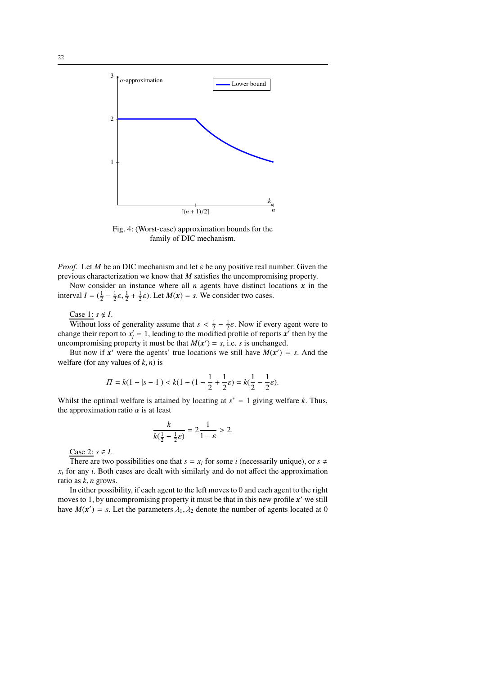<span id="page-21-0"></span>

Fig. 4: (Worst-case) approximation bounds for the family of DIC mechanism.

*Proof.* Let *M* be an DIC mechanism and let  $\varepsilon$  be any positive real number. Given the previous characterization we know that *M* satisfies the uncompromising property.

Now consider an instance where all  $n$  agents have distinct locations  $x$  in the interval  $I = (\frac{1}{2} - \frac{1}{2}\varepsilon, \frac{1}{2} + \frac{1}{2}\varepsilon)$ . Let  $M(x) = s$ . We consider two cases.

# Case 1:  $s \notin I$ .

Without loss of generality assume that  $s < \frac{1}{2} - \frac{1}{2}\varepsilon$ . Now if every agent were to change their report to  $x'_i = 1$ , leading to the modified profile of reports  $x'$  then by the uncompromising property it must be that  $M(x') = s$ , i.e. *s* is unchanged.

But now if  $x'$  were the agents' true locations we still have  $M(x') = s$ . And the welfare (for any values of  $k$ ,  $n$ ) is

$$
\Pi = k(1 - |s - 1|) < k(1 - (1 - \frac{1}{2} + \frac{1}{2}\varepsilon) = k(\frac{1}{2} - \frac{1}{2}\varepsilon).
$$

Whilst the optimal welfare is attained by locating at  $s^* = 1$  giving welfare *k*. Thus, the approximation ratio  $\alpha$  is at least

$$
\frac{k}{k(\frac{1}{2} - \frac{1}{2}\varepsilon)} = 2\frac{1}{1 - \varepsilon} > 2.
$$

Case 2:  $s \in I$ .

There are two possibilities one that  $s = x_i$  for some *i* (necessarily unique), or  $s \neq$  $x_i$  for any *i*. Both cases are dealt with similarly and do not affect the approximation ratio as *k*, *n* grows.

In either possibility, if each agent to the left moves to 0 and each agent to the right moves to 1, by uncompromising property it must be that in this new profile *x* ′ we still have  $M(x') = s$ . Let the parameters  $\lambda_1, \lambda_2$  denote the number of agents located at 0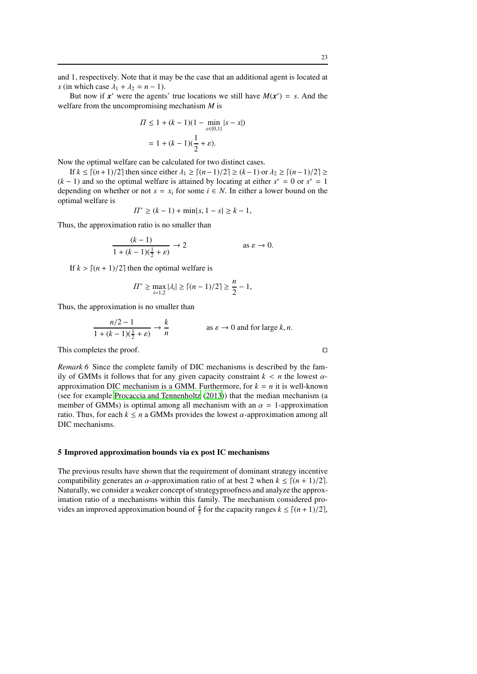But now if  $x'$  were the agents' true locations we still have  $M(x') = s$ . And the welfare from the uncompromising mechanism *M* is

$$
\Pi \le 1 + (k - 1)(1 - \min_{x \in \{0, 1\}} |s - x|)
$$

$$
= 1 + (k - 1)(\frac{1}{2} + \varepsilon).
$$

Now the optimal welfare can be calculated for two distinct cases.

If  $k \leq \lfloor (n+1)/2 \rfloor$  then since either  $\lambda_1 \geq \lfloor (n-1)/2 \rfloor \geq (k-1)$  or  $\lambda_2 \geq \lfloor (n-1)/2 \rfloor \geq$  $(k-1)$  and so the optimal welfare is attained by locating at either  $s^* = 0$  or  $s^* = 1$ depending on whether or not  $s = x_i$  for some  $i \in N$ . In either a lower bound on the optimal welfare is

$$
\Pi^* \ge (k-1) + \min\{s, 1-s\} \ge k-1,
$$

Thus, the approximation ratio is no smaller than

$$
\frac{(k-1)}{1 + (k-1)\left(\frac{1}{2} + \varepsilon\right)} \to 2 \qquad \text{as } \varepsilon \to 0.
$$

If  $k > [(n + 1)/2]$  then the optimal welfare is

$$
\varPi^* \ge \max_{i=1,2} |\lambda_i| \ge \lceil (n-1)/2 \rceil \ge \frac{n}{2} - 1,
$$

Thus, the approximation is no smaller than

$$
\frac{n/2 - 1}{1 + (k - 1)(\frac{1}{2} + \varepsilon)} \to \frac{k}{n}
$$
 as  $\varepsilon \to 0$  and for large  $k, n$ .

This completes the proof. □

*Remark 6* Since the complete family of DIC mechanisms is described by the family of GMMs it follows that for any given capacity constraint  $k < n$  the lowest  $\alpha$ approximation DIC mechanism is a GMM. Furthermore, for  $k = n$  it is well-known (see for example [Procaccia and Tennenholtz](#page-31-6) [\(2013\)](#page-31-6)) that the median mechanism (a member of GMMs) is optimal among all mechanism with an  $\alpha = 1$ -approximation ratio. Thus, for each  $k \le n$  a GMMs provides the lowest  $\alpha$ -approximation among all DIC mechanisms.

#### 5 Improved approximation bounds via ex post IC mechanisms

The previous results have shown that the requirement of dominant strategy incentive compatibility generates an  $\alpha$ -approximation ratio of at best 2 when  $k \leq \lfloor (n + 1)/2 \rfloor$ . Naturally, we consider a weaker concept of strategyproofness and analyze the approximation ratio of a mechanisms within this family. The mechanism considered provides an improved approximation bound of  $\frac{4}{3}$  for the capacity ranges  $k \leq \lfloor (n+1)/2 \rfloor$ ,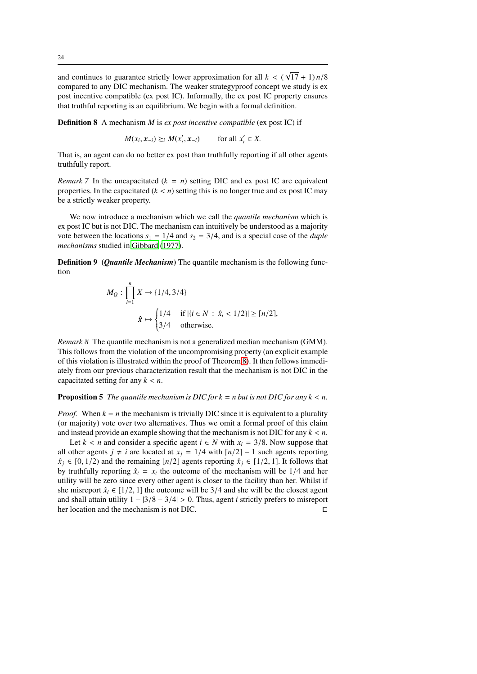and continues to guarantee strictly lower approximation for all  $k < (\sqrt{17} + 1) n/8$ compared to any DIC mechanism. The weaker strategyproof concept we study is ex post incentive compatible (ex post IC). Informally, the ex post IC property ensures that truthful reporting is an equilibrium. We begin with a formal definition.

Definition 8 A mechanism *M* is *ex post incentive compatible* (ex post IC) if

 $M(x_i, \mathbf{x}_{-i}) \gtrsim_i M(x'_i)$  $(x_i, x_{-i})$  for all  $x'_i \in X$ .

That is, an agent can do no better ex post than truthfully reporting if all other agents truthfully report.

*Remark* 7 In the uncapacitated  $(k = n)$  setting DIC and ex post IC are equivalent properties. In the capacitated  $(k < n)$  setting this is no longer true and ex post IC may be a strictly weaker property.

We now introduce a mechanism which we call the *quantile mechanism* which is ex post IC but is not DIC. The mechanism can intuitively be understood as a majority vote between the locations  $s_1 = 1/4$  and  $s_2 = 3/4$ , and is a special case of the *duple mechanisms* studied in [Gibbard \(1977\)](#page-31-18).

Definition 9 (*Quantile Mechanism*) The quantile mechanism is the following function

$$
M_Q: \prod_{i=1}^n X \to \{1/4, 3/4\}
$$
  

$$
\hat{\mathbf{x}} \mapsto \begin{cases} 1/4 & \text{if } |\{i \in N : \hat{x}_i < 1/2\}| \ge \lceil n/2 \rceil, \\ 3/4 & \text{otherwise.} \end{cases}
$$

*Remark 8* The quantile mechanism is not a generalized median mechanism (GMM). This follows from the violation of the uncompromising property (an explicit example of this violation is illustrated within the proof of Theorem [8\)](#page-23-1). It then follows immediately from our previous characterization result that the mechanism is not DIC in the capacitated setting for any  $k < n$ .

## <span id="page-23-0"></span>**Proposition 5** *The quantile mechanism is DIC for k = n but is not DIC for any k < n.*

*Proof.* When  $k = n$  the mechanism is trivially DIC since it is equivalent to a plurality (or majority) vote over two alternatives. Thus we omit a formal proof of this claim and instead provide an example showing that the mechanism is not DIC for any  $k < n$ .

<span id="page-23-1"></span>Let  $k < n$  and consider a specific agent  $i \in N$  with  $x_i = 3/8$ . Now suppose that all other agents *j*  $\neq$  *i* are located at *x<sub>i</sub>* = 1/4 with  $\lceil n/2 \rceil - 1$  such agents reporting  $\hat{x}_i \in [0, 1/2)$  and the remaining  $\lfloor n/2 \rfloor$  agents reporting  $\hat{x}_i \in [1/2, 1]$ . It follows that by truthfully reporting  $\hat{x}_i = x_i$  the outcome of the mechanism will be 1/4 and her utility will be zero since every other agent is closer to the facility than her. Whilst if she misreport  $\hat{x}_i \in [1/2, 1]$  the outcome will be 3/4 and she will be the closest agent and shall attain utility  $1 - |3/8 - 3/4| > 0$ . Thus, agent *i* strictly prefers to misreport her location and the mechanism is not DIC. her location and the mechanism is not DIC.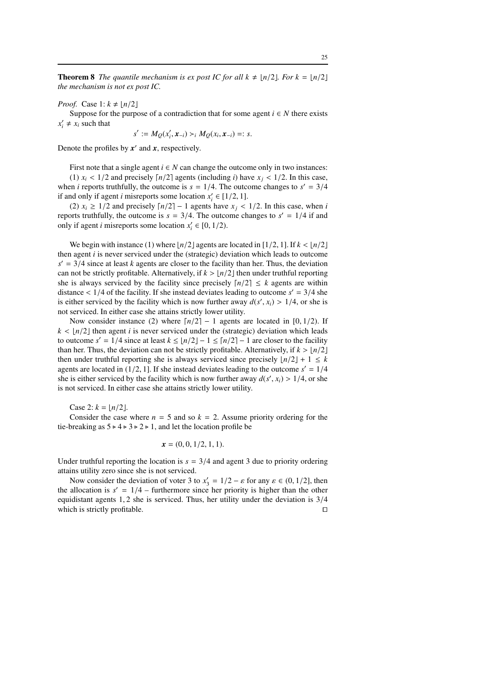**Theorem 8** *The quantile mechanism is ex post IC for all*  $k \neq \lfloor n/2 \rfloor$ *. For*  $k = \lfloor n/2 \rfloor$ *the mechanism is not ex post IC.*

*Proof.* Case  $1: k \neq \lfloor n/2 \rfloor$ 

Suppose for the purpose of a contradiction that for some agent  $i \in N$  there exists  $x'_i \neq x_i$  such that

$$
s' := M_Q(x'_i, x_{-i}) >_i M_Q(x_i, x_{-i}) =: s.
$$

Denote the profiles by *x* ′ and *x*, respectively.

First note that a single agent  $i \in N$  can change the outcome only in two instances: (1)  $x_i$  < 1/2 and precisely  $\lceil n/2 \rceil$  agents (including *i*) have  $x_i$  < 1/2. In this case,

when *i* reports truthfully, the outcome is  $s = 1/4$ . The outcome changes to  $s' = 3/4$ if and only if agent *i* misreports some location  $x'_i \in [1/2, 1]$ .

(2)  $x_i \geq 1/2$  and precisely  $\lceil n/2 \rceil - 1$  agents have  $x_j < 1/2$ . In this case, when *i* reports truthfully, the outcome is  $s = 3/4$ . The outcome changes to  $s' = 1/4$  if and only if agent *i* misreports some location  $x'$  ∈ [0, 1/2).

We begin with instance (1) where  $\lfloor n/2 \rfloor$  agents are located in  $\lfloor 1/2, 1 \rfloor$ . If  $k < \lfloor n/2 \rfloor$ then agent *i* is never serviced under the (strategic) deviation which leads to outcome  $s' = 3/4$  since at least *k* agents are closer to the facility than her. Thus, the deviation can not be strictly profitable. Alternatively, if  $k > \lfloor n/2 \rfloor$  then under truthful reporting she is always serviced by the facility since precisely  $\lceil n/2 \rceil \leq k$  agents are within distance  $\langle 1/4 \rangle$  of the facility. If she instead deviates leading to outcome  $s' = 3/4$  she is either serviced by the facility which is now further away  $d(s', x_i) > 1/4$ , or she is not serviced. In either case she attains strictly lower utility.

Now consider instance (2) where  $\lceil n/2 \rceil - 1$  agents are located in [0, 1/2). If  $k < \lfloor n/2 \rfloor$  then agent *i* is never serviced under the (strategic) deviation which leads to outcome  $s' = 1/4$  since at least  $k \leq \lfloor n/2 \rfloor - 1 \leq \lceil n/2 \rceil - 1$  are closer to the facility than her. Thus, the deviation can not be strictly profitable. Alternatively, if  $k > \lfloor n/2 \rfloor$ then under truthful reporting she is always serviced since precisely  $\lfloor n/2 \rfloor + 1 \leq k$ agents are located in  $(1/2, 1]$ . If she instead deviates leading to the outcome  $s' = 1/4$ she is either serviced by the facility which is now further away  $d(s', x_i) > 1/4$ , or she is not serviced. In either case she attains strictly lower utility.

Case 2:  $k = \frac{n}{2}$ .

Consider the case where  $n = 5$  and so  $k = 2$ . Assume priority ordering for the tie-breaking as  $5 \triangleright 4 \triangleright 3 \triangleright 2 \triangleright 1$ , and let the location profile be

$$
\mathbf{x} = (0, 0, 1/2, 1, 1).
$$

Under truthful reporting the location is  $s = 3/4$  and agent 3 due to priority ordering attains utility zero since she is not serviced.

Now consider the deviation of voter 3 to  $x'_3 = 1/2 - \varepsilon$  for any  $\varepsilon \in (0, 1/2]$ , then the allocation is  $s' = 1/4$  – furthermore since her priority is higher than the other equidistant agents 1, 2 she is serviced. Thus, her utility under the deviation is 3/4 which is strictly profitable. □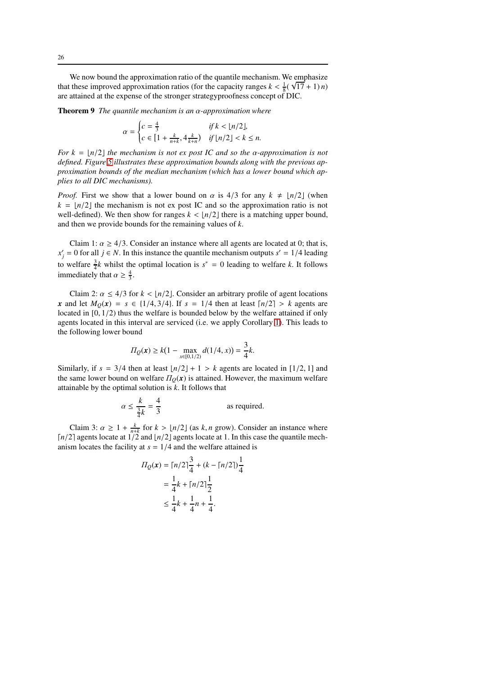We now bound the approximation ratio of the quantile mechanism. We emphasize that these improved approximation ratios (for the capacity ranges  $k < \frac{1}{8}(\sqrt{17} + 1)n$ ) are attained at the expense of the stronger strategyproofness concept of DIC.

Theorem 9 *The quantile mechanism is an* α*-approximation where*

$$
\alpha = \begin{cases} c = \frac{4}{3} & \text{if } k < \lfloor n/2 \rfloor, \\ c \in \left[ 1 + \frac{k}{n+k}, 4\frac{k}{k+n} \right) & \text{if } \lfloor n/2 \rfloor < k \le n. \end{cases}
$$

*For*  $k = \lfloor n/2 \rfloor$  *the mechanism is not ex post IC and so the*  $\alpha$ *-approximation is not defined. Figure [5](#page-27-0) illustrates these approximation bounds along with the previous approximation bounds of the median mechanism (which has a lower bound which applies to all DIC mechanisms).*

*Proof.* First we show that a lower bound on  $\alpha$  is 4/3 for any  $k \neq \lfloor n/2 \rfloor$  (when  $k = \lfloor n/2 \rfloor$  the mechanism is not ex post IC and so the approximation ratio is not well-defined). We then show for ranges  $k < \lfloor n/2 \rfloor$  there is a matching upper bound, and then we provide bounds for the remaining values of *k*.

Claim 1:  $\alpha \ge 4/3$ . Consider an instance where all agents are located at 0; that is,  $x'_{j} = 0$  for all  $j \in N$ . In this instance the quantile mechanism outputs  $s' = 1/4$  leading to welfare  $\frac{3}{4}k$  whilst the optimal location is  $s^* = 0$  leading to welfare *k*. It follows immediately that  $\alpha \geq \frac{4}{3}$ .

Claim 2:  $\alpha \leq 4/3$  for  $k < |n/2|$ . Consider an arbitrary profile of agent locations *x* and let  $M_0(x) = s \in \{1/4, 3/4\}$ . If  $s = 1/4$  then at least  $\lceil n/2 \rceil > k$  agents are located in [0, 1/2) thus the welfare is bounded below by the welfare attained if only agents located in this interval are serviced (i.e. we apply Corollary [1\)](#page-7-2). This leads to the following lower bound

$$
\Pi_Q(\mathbf{x}) \ge k(1 - \max_{x \in [0, 1/2)} d(1/4, x)) = \frac{3}{4}k.
$$

Similarly, if  $s = 3/4$  then at least  $\lfloor n/2 \rfloor + 1 > k$  agents are located in  $\lfloor 1/2, 1 \rfloor$  and the same lower bound on welfare  $\Pi_0(x)$  is attained. However, the maximum welfare attainable by the optimal solution is *k*. It follows that

$$
\alpha \le \frac{k}{\frac{3}{4}k} = \frac{4}{3}
$$
 as required.

Claim 3:  $\alpha \geq 1 + \frac{k}{n+k}$  for  $k > \lfloor n/2 \rfloor$  (as  $k, n$  grow). Consider an instance where ⌈*n*/2⌉ agents locate at 1/2 and ⌊*n*/2⌋ agents locate at 1. In this case the quantile mechanism locates the facility at  $s = 1/4$  and the welfare attained is

$$
\Pi_Q(\mathbf{x}) = \lceil n/2 \rceil \frac{3}{4} + (k - \lceil n/2 \rceil) \frac{1}{4}
$$

$$
= \frac{1}{4}k + \lceil n/2 \rceil \frac{1}{2}
$$

$$
\leq \frac{1}{4}k + \frac{1}{4}n + \frac{1}{4}.
$$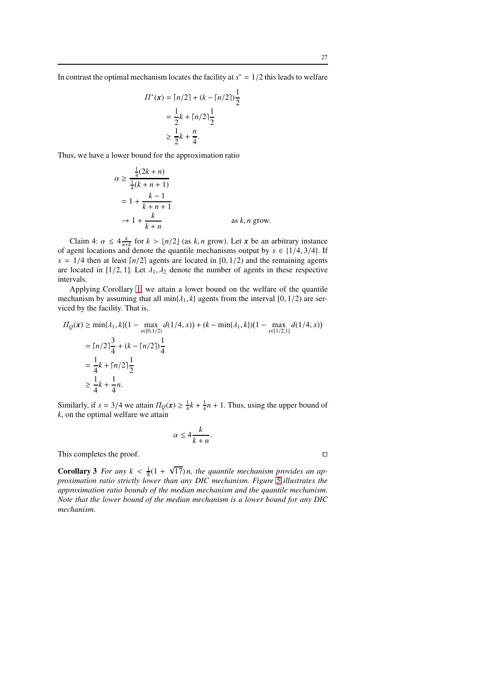1 2

$$
\Pi^*(\mathbf{x}) = \lceil n/2 \rceil + (k - \lceil n/2 \rceil)
$$

$$
= \frac{1}{2}k + \lceil n/2 \rceil \frac{1}{2}
$$

$$
\geq \frac{1}{2}k + \frac{n}{4}.
$$

Thus, we have a lower bound for the approximation ratio

$$
\alpha \ge \frac{\frac{1}{4}(2k+n)}{\frac{1}{4}(k+n+1)}
$$
  
=  $1 + \frac{k-1}{k+n+1}$   
 $\rightarrow 1 + \frac{k}{k+n}$  as k, n grow.

Claim 4:  $\alpha \leq 4 \frac{k}{n+k}$  for  $k > \lfloor n/2 \rfloor$  (as  $k, n$  grow). Let *x* be an arbitrary instance of agent locations and denote the quantile mechanisms output by  $s \in \{1/4, 3/4\}$ . If  $s = 1/4$  then at least  $\lceil n/2 \rceil$  agents are located in [0, 1/2) and the remaining agents are located in [1/2, 1]. Let  $\lambda_1, \lambda_2$  denote the number of agents in these respective intervals.

Applying Corollary [1,](#page-7-2) we attain a lower bound on the welfare of the quantile mechanism by assuming that all  $\min\{\lambda_1, k\}$  agents from the interval [0, 1/2) are serviced by the facility. That is,

$$
\begin{aligned} \n\Pi_Q(\mathbf{x}) &\ge \min\{\lambda_1, k\}(1 - \max_{x \in [0, 1/2)} d(1/4, x)) + (k - \min\{\lambda_1, k\})(1 - \max_{x \in [1/2, 1]} d(1/4, x)) \\ \n&= \lceil n/2 \rceil \frac{3}{4} + (k - \lceil n/2 \rceil) \frac{1}{4} \\ \n&= \frac{1}{4} k + \lceil n/2 \rceil \frac{1}{2} \\ \n&\ge \frac{1}{4} k + \frac{1}{4} n. \n\end{aligned}
$$

Similarly, if  $s = 3/4$  we attain  $\Pi_Q(x) \ge \frac{1}{4}k + \frac{1}{4}n + 1$ . Thus, using the upper bound of *k*, on the optimal welfare we attain

$$
\alpha \le 4\frac{k}{k+n}.
$$

This completes the proof. □

**Corollary 3** *For any*  $k < \frac{1}{8}(1 + \sqrt{17})n$ , the quantile mechanism provides an ap*proximation ratio strictly lower than any DIC mechanism. Figure [5](#page-27-0) illustrates the approximation ratio bounds of the median mechanism and the quantile mechanism. Note that the lower bound of the median mechanism is a lower bound for any DIC mechanism.*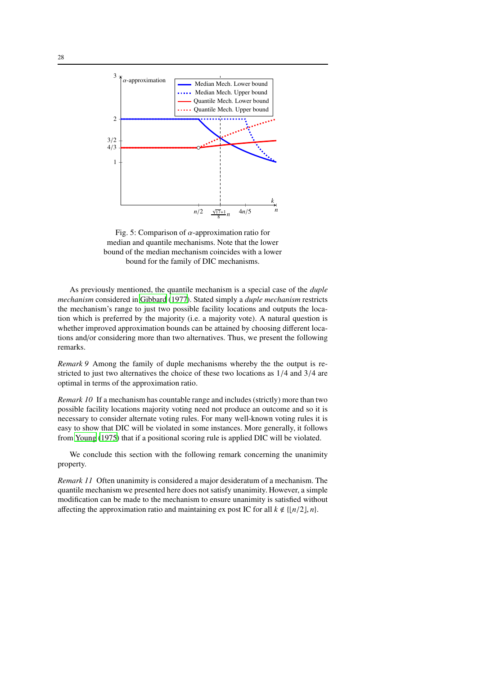<span id="page-27-0"></span>

Fig. 5: Comparison of  $\alpha$ -approximation ratio for median and quantile mechanisms. Note that the lower bound of the median mechanism coincides with a lower bound for the family of DIC mechanisms.

As previously mentioned, the quantile mechanism is a special case of the *duple mechanism* considered in [Gibbard \(1977\)](#page-31-18). Stated simply a *duple mechanism* restricts the mechanism's range to just two possible facility locations and outputs the location which is preferred by the majority (i.e. a majority vote). A natural question is whether improved approximation bounds can be attained by choosing different locations and/or considering more than two alternatives. Thus, we present the following remarks.

*Remark 9* Among the family of duple mechanisms whereby the the output is restricted to just two alternatives the choice of these two locations as 1/4 and 3/4 are optimal in terms of the approximation ratio.

*Remark 10* If a mechanism has countable range and includes (strictly) more than two possible facility locations majority voting need not produce an outcome and so it is necessary to consider alternate voting rules. For many well-known voting rules it is easy to show that DIC will be violated in some instances. More generally, it follows from [Young](#page-32-5) [\(1975\)](#page-32-5) that if a positional scoring rule is applied DIC will be violated.

We conclude this section with the following remark concerning the unanimity property.

*Remark 11* Often unanimity is considered a major desideratum of a mechanism. The quantile mechanism we presented here does not satisfy unanimity. However, a simple modification can be made to the mechanism to ensure unanimity is satisfied without affecting the approximation ratio and maintaining ex post IC for all  $k \notin \{\lfloor n/2 \rfloor, n\}.$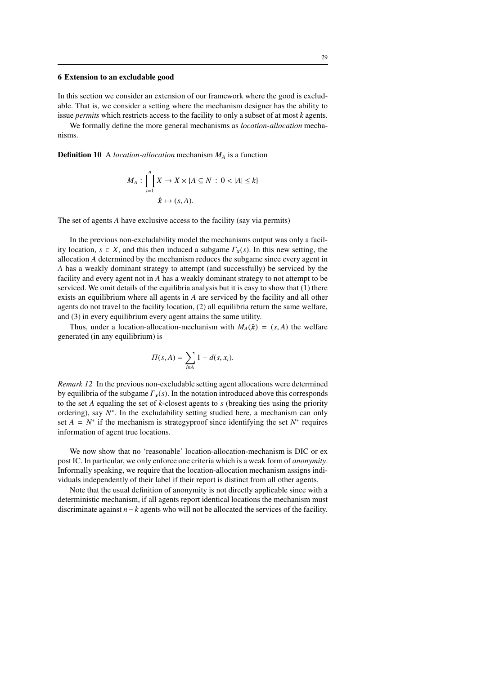## <span id="page-28-0"></span>6 Extension to an excludable good

In this section we consider an extension of our framework where the good is excludable. That is, we consider a setting where the mechanism designer has the ability to issue *permits* which restricts access to the facility to only a subset of at most *k* agents.

We formally define the more general mechanisms as *location-allocation* mechanisms.

Definition 10 A *location-allocation* mechanism *M<sup>A</sup>* is a function

$$
M_A: \prod_{i=1}^n X \to X \times \{A \subseteq N : 0 < |A| \le k\}
$$
\n
$$
\hat{\mathbf{x}} \mapsto (s, A).
$$

The set of agents *A* have exclusive access to the facility (say via permits)

In the previous non-excludability model the mechanisms output was only a facility location,  $s \in X$ , and this then induced a subgame  $\Gamma_x(s)$ . In this new setting, the allocation *A* determined by the mechanism reduces the subgame since every agent in *A* has a weakly dominant strategy to attempt (and successfully) be serviced by the facility and every agent not in *A* has a weakly dominant strategy to not attempt to be serviced. We omit details of the equilibria analysis but it is easy to show that (1) there exists an equilibrium where all agents in *A* are serviced by the facility and all other agents do not travel to the facility location, (2) all equilibria return the same welfare, and (3) in every equilibrium every agent attains the same utility.

Thus, under a location-allocation-mechanism with  $M_A(\hat{x}) = (s, A)$  the welfare generated (in any equilibrium) is

$$
\Pi(s, A) = \sum_{i \in A} 1 - d(s, x_i).
$$

*Remark 12* In the previous non-excludable setting agent allocations were determined by equilibria of the subgame Γ*x*(*s*). In the notation introduced above this corresponds to the set *A* equaling the set of *k*-closest agents to *s* (breaking ties using the priority ordering), say  $N^*$ . In the excludability setting studied here, a mechanism can only set  $A = N^*$  if the mechanism is strategyproof since identifying the set  $N^*$  requires information of agent true locations.

We now show that no 'reasonable' location-allocation-mechanism is DIC or ex post IC. In particular, we only enforce one criteria which is a weak form of *anonymity*. Informally speaking, we require that the location-allocation mechanism assigns individuals independently of their label if their report is distinct from all other agents.

Note that the usual definition of anonymity is not directly applicable since with a deterministic mechanism, if all agents report identical locations the mechanism must discriminate against *n*−*k* agents who will not be allocated the services of the facility.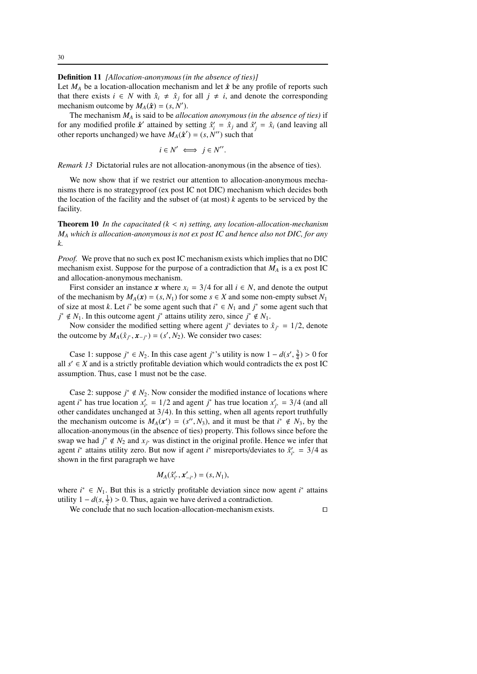#### Definition 11 *[Allocation-anonymous (in the absence of ties)]*

Let  $M_A$  be a location-allocation mechanism and let  $\hat{x}$  be any profile of reports such that there exists *i* ∈ *N* with  $\hat{x}_i \neq \hat{x}_j$  for all  $j \neq i$ , and denote the corresponding mechanism outcome by  $M_A(\hat{\boldsymbol{x}}) = (s, N').$ 

The mechanism *M<sup>A</sup>* is said to be *allocation anonymous (in the absence of ties)* if for any modified profile  $\hat{x}'$  attained by setting  $\hat{x}'_i = \hat{x}_j$  and  $\hat{x}'_j = \hat{x}_i$  (and leaving all other reports unchanged) we have  $M_A(\hat{\boldsymbol{x}}') = (s, N'')$  such that

$$
i \in N' \iff j \in N''.
$$

*Remark 13* Dictatorial rules are not allocation-anonymous (in the absence of ties).

We now show that if we restrict our attention to allocation-anonymous mechanisms there is no strategyproof (ex post IC not DIC) mechanism which decides both the location of the facility and the subset of (at most) *k* agents to be serviced by the facility.

Theorem 10 *In the capacitated (k* < *n) setting, any location-allocation-mechanism M<sup>A</sup> which is allocation-anonymous is not ex post IC and hence also not DIC, for any k.*

*Proof.* We prove that no such ex post IC mechanism exists which implies that no DIC mechanism exist. Suppose for the purpose of a contradiction that *M<sup>A</sup>* is a ex post IC and allocation-anonymous mechanism.

First consider an instance *x* where  $x_i = 3/4$  for all  $i \in N$ , and denote the output of the mechanism by  $M_A(x) = (s, N_1)$  for some  $s \in X$  and some non-empty subset  $N_1$ of size at most *k*. Let *i*<sup>\*</sup> be some agent such that  $i^* \in N_1$  and  $j^*$  some agent such that *j*<sup>\*</sup> ∉ *N*<sub>1</sub>. In this outcome agent *j*<sup>\*</sup> attains utility zero, since *j*<sup>\*</sup> ∉ *N*<sub>1</sub>.

Now consider the modified setting where agent *j*<sup>\*</sup> deviates to  $\hat{x}_{j^*} = 1/2$ , denote the outcome by  $M_A(\hat{x}_{j^*}, x_{-j^*}) = (s', N_2)$ . We consider two cases:

Case 1: suppose  $j^* \in N_2$ . In this case agent  $j^*$ 's utility is now  $1 - d(s', \frac{3}{4}) > 0$  for all  $s' \in X$  and is a strictly profitable deviation which would contradicts the ex post IC assumption. Thus, case 1 must not be the case.

Case 2: suppose  $j^* \notin N_2$ . Now consider the modified instance of locations where agent *i*<sup>\*</sup> has true location  $x'_{i^*} = 1/2$  and agent *j*<sup>\*</sup> has true location  $x'_{j^*} = 3/4$  (and all other candidates unchanged at  $3/4$ ). In this setting, when all agents report truthfully the mechanism outcome is  $M_A(x') = (s'', N_3)$ , and it must be that  $i^* \notin N_3$ , by the allocation-anonymous (in the absence of ties) property. This follows since before the swap we had  $j^* \notin N_2$  and  $x_{j^*}$  was distinct in the original profile. Hence we infer that agent *i*<sup>\*</sup> attains utility zero. But now if agent *i*<sup>\*</sup> misreports/deviates to  $\hat{x}_{i^*} = 3/4$  as shown in the first paragraph we have

$$
M_A(\hat{x}'_{i^*}, x'_{-i^*}) = (s, N_1),
$$

where  $i^*$  ∈  $N_1$ . But this is a strictly profitable deviation since now agent  $i^*$  attains utility  $1 - d(s, \frac{1}{2}) > 0$ . Thus, again we have derived a contradiction.

We conclude that no such location-allocation-mechanism exists. □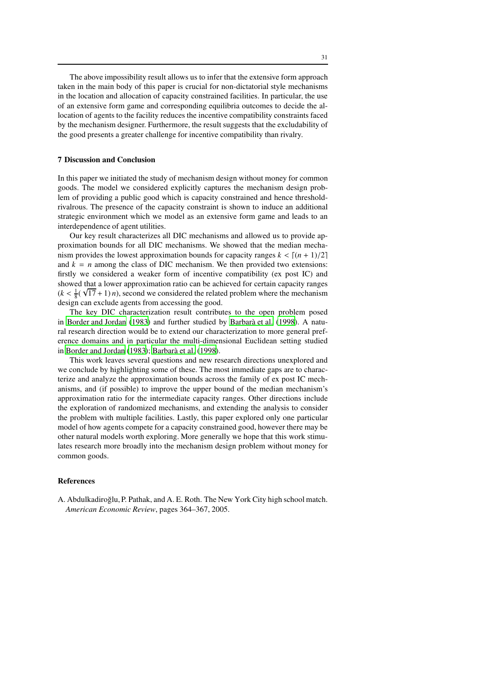The above impossibility result allows us to infer that the extensive form approach taken in the main body of this paper is crucial for non-dictatorial style mechanisms in the location and allocation of capacity constrained facilities. In particular, the use of an extensive form game and corresponding equilibria outcomes to decide the allocation of agents to the facility reduces the incentive compatibility constraints faced by the mechanism designer. Furthermore, the result suggests that the excludability of the good presents a greater challenge for incentive compatibility than rivalry.

## 7 Discussion and Conclusion

In this paper we initiated the study of mechanism design without money for common goods. The model we considered explicitly captures the mechanism design problem of providing a public good which is capacity constrained and hence thresholdrivalrous. The presence of the capacity constraint is shown to induce an additional strategic environment which we model as an extensive form game and leads to an interdependence of agent utilities.

Our key result characterizes all DIC mechanisms and allowed us to provide approximation bounds for all DIC mechanisms. We showed that the median mechanism provides the lowest approximation bounds for capacity ranges  $k < [(n + 1)/2]$ and  $k = n$  among the class of DIC mechanism. We then provided two extensions: firstly we considered a weaker form of incentive compatibility (ex post IC) and showed that a lower approximation ratio can be achieved for certain capacity ranges  $(k < \frac{1}{8}(\sqrt{17} + 1)n)$ , second we considered the related problem where the mechanism design can exclude agents from accessing the good.

The key DIC characterization result contributes to the open problem posed in [Border and Jordan \(1983\)](#page-31-1) and further studied by Barbarà et al. [\(1998\)](#page-31-0). A natural research direction would be to extend our characterization to more general preference domains and in particular the multi-dimensional Euclidean setting studied in [Border and Jordan](#page-31-1) [\(1983\)](#page-31-1); Barbarà et al. (1998).

This work leaves several questions and new research directions unexplored and we conclude by highlighting some of these. The most immediate gaps are to characterize and analyze the approximation bounds across the family of ex post IC mechanisms, and (if possible) to improve the upper bound of the median mechanism's approximation ratio for the intermediate capacity ranges. Other directions include the exploration of randomized mechanisms, and extending the analysis to consider the problem with multiple facilities. Lastly, this paper explored only one particular model of how agents compete for a capacity constrained good, however there may be other natural models worth exploring. More generally we hope that this work stimulates research more broadly into the mechanism design problem without money for common goods.

## References

<span id="page-30-0"></span>A. Abdulkadiroğlu, P. Pathak, and A. E. Roth. The New York City high school match. *American Economic Review*, pages 364–367, 2005.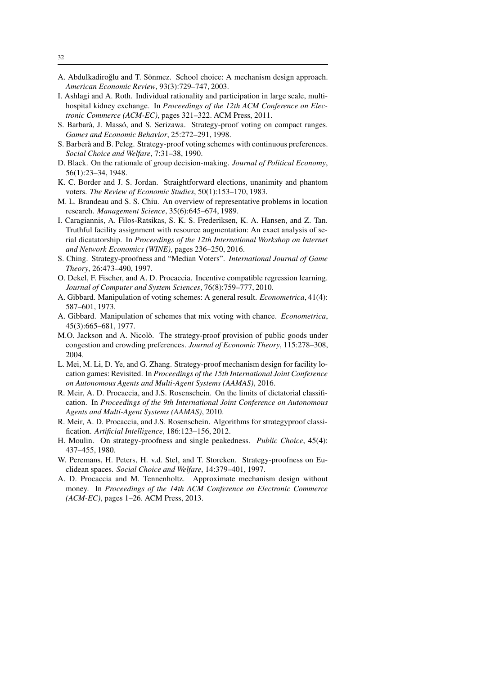- <span id="page-31-3"></span>A. Abdulkadiroğlu and T. Sönmez. School choice: A mechanism design approach. *American Economic Review*, 93(3):729–747, 2003.
- <span id="page-31-2"></span>I. Ashlagi and A. Roth. Individual rationality and participation in large scale, multihospital kidney exchange. In *Proceedings of the 12th ACM Conference on Electronic Commerce (ACM-EC)*, pages 321–322. ACM Press, 2011.
- <span id="page-31-0"></span>S. Barbarà, J. Massó, and S. Serizawa. Strategy-proof voting on compact ranges. *Games and Economic Behavior*, 25:272–291, 1998.
- <span id="page-31-8"></span>S. Barberà and B. Peleg. Strategy-proof voting schemes with continuous preferences. *Social Choice and Welfare*, 7:31–38, 1990.
- <span id="page-31-4"></span>D. Black. On the rationale of group decision-making. *Journal of Political Economy*, 56(1):23–34, 1948.
- <span id="page-31-1"></span>K. C. Border and J. S. Jordan. Straightforward elections, unanimity and phantom voters. *The Review of Economic Studies*, 50(1):153–170, 1983.
- <span id="page-31-13"></span>M. L. Brandeau and S. S. Chiu. An overview of representative problems in location research. *Management Science*, 35(6):645–674, 1989.
- <span id="page-31-16"></span>I. Caragiannis, A. Filos-Ratsikas, S. K. S. Frederiksen, K. A. Hansen, and Z. Tan. Truthful facility assignment with resource augmentation: An exact analysis of serial dicatatorship. In *Proceedings of the 12th International Workshop on Internet and Network Economics (WINE)*, pages 236–250, 2016.
- <span id="page-31-14"></span>S. Ching. Strategy-proofness and "Median Voters". *International Journal of Game Theory*, 26:473–490, 1997.
- <span id="page-31-9"></span>O. Dekel, F. Fischer, and A. D. Procaccia. Incentive compatible regression learning. *Journal of Computer and System Sciences*, 76(8):759–777, 2010.
- <span id="page-31-7"></span>A. Gibbard. Manipulation of voting schemes: A general result. *Econometrica*, 41(4): 587–601, 1973.
- <span id="page-31-18"></span>A. Gibbard. Manipulation of schemes that mix voting with chance. *Econometrica*, 45(3):665–681, 1977.
- <span id="page-31-17"></span>M.O. Jackson and A. Nicolò. The strategy-proof provision of public goods under congestion and crowding preferences. *Journal of Economic Theory*, 115:278–308, 2004.
- <span id="page-31-12"></span>L. Mei, M. Li, D. Ye, and G. Zhang. Strategy-proof mechanism design for facility location games: Revisited. In *Proceedings of the 15th International Joint Conference on Autonomous Agents and Multi-Agent Systems (AAMAS)*, 2016.
- <span id="page-31-10"></span>R. Meir, A. D. Procaccia, and J.S. Rosenschein. On the limits of dictatorial classification. In *Proceedings of the 9th International Joint Conference on Autonomous Agents and Multi-Agent Systems (AAMAS)*, 2010.
- <span id="page-31-11"></span>R. Meir, A. D. Procaccia, and J.S. Rosenschein. Algorithms for strategyproof classification. *Artificial Intelligence*, 186:123–156, 2012.
- <span id="page-31-5"></span>H. Moulin. On strategy-proofness and single peakedness. *Public Choice*, 45(4): 437–455, 1980.
- <span id="page-31-15"></span>W. Peremans, H. Peters, H. v.d. Stel, and T. Storcken. Strategy-proofness on Euclidean spaces. *Social Choice and Welfare*, 14:379–401, 1997.
- <span id="page-31-6"></span>A. D. Procaccia and M. Tennenholtz. Approximate mechanism design without money. In *Proceedings of the 14th ACM Conference on Electronic Commerce (ACM-EC)*, pages 1–26. ACM Press, 2013.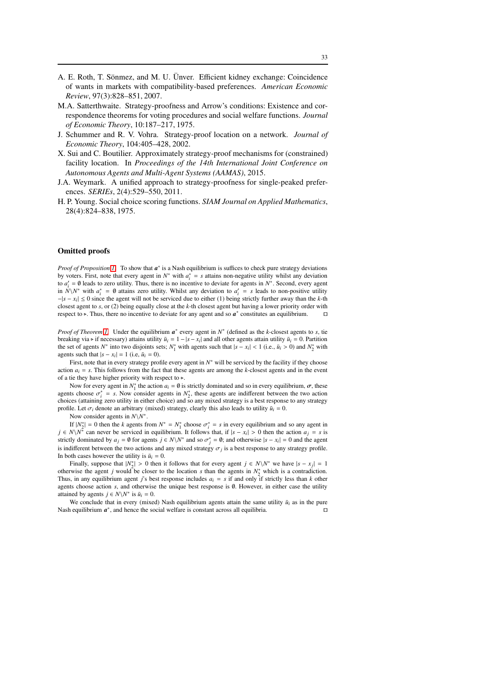- <span id="page-32-0"></span>A. E. Roth, T. Sönmez, and M. U. Ünver. Efficient kidney exchange: Coincidence of wants in markets with compatibility-based preferences. *American Economic Review*, 97(3):828–851, 2007.
- <span id="page-32-1"></span>M.A. Satterthwaite. Strategy-proofness and Arrow's conditions: Existence and correspondence theorems for voting procedures and social welfare functions. *Journal of Economic Theory*, 10:187–217, 1975.
- <span id="page-32-4"></span>J. Schummer and R. V. Vohra. Strategy-proof location on a network. *Journal of Economic Theory*, 104:405–428, 2002.
- <span id="page-32-2"></span>X. Sui and C. Boutilier. Approximately strategy-proof mechanisms for (constrained) facility location. In *Proceedings of the 14th International Joint Conference on Autonomous Agents and Multi-Agent Systems (AAMAS)*, 2015.
- <span id="page-32-3"></span>J.A. Weymark. A unified approach to strategy-proofness for single-peaked preferences. *SERIEs*, 2(4):529–550, 2011.
- <span id="page-32-5"></span>H. P. Young. Social choice scoring functions. *SIAM Journal on Applied Mathematics*, 28(4):824–838, 1975.

#### Omitted proofs

*Proof of Proposition [1.](#page-7-0)* To show that  $a^*$  is a Nash equilibrium is suffices to check pure strategy deviations by voters. First, note that every agent in  $N^*$  with  $a_i^* = s$  attains non-negative utility whilst any deviation to  $a'_i = \emptyset$  leads to zero utility. Thus, there is no incentive to deviate for agents in  $N^*$ . Second, every agent in *N*\*N*<sup>\*</sup> with  $a_i^* = \emptyset$  attains zero utility. Whilst any deviation to  $a'_i = s$  leads to non-positive utility −|*s* − *x<sup>i</sup>* | ≤ 0 since the agent will not be serviced due to either (1) being strictly further away than the *k*-th closest agent to *s*, or (2) being equally close at the *k*-th closest agent but having a lower priority order with respect to ⊳. Thus, there no incentive to deviate for any agent and so  $a^*$  constitutes an equilibrium. □

*Proof of Theorem [1.](#page-7-1)* Under the equilibrium  $a^*$  every agent in *N*<sup>∗</sup> (defined as the *k*-closest agents to *s*, tie breaking via  $\triangleright$  if necessary) attains utility  $\bar{u}_i = 1 - |s - x_i|$  and all other agents attain utility  $\bar{u}_i = 0$ . Partition the set of agents *N*<sup>\*</sup> into two disjoints sets;  $N_1^*$  with agents such that  $|s - x_i| < 1$  (i.e.,  $\bar{u}_i > 0$ ) and  $N_2^*$  with agents such that  $|s - x_i| = 1$  (i.e,  $\bar{u}_i = 0$ ).

First, note that in every strategy profile every agent in  $N^*$  will be serviced by the facility if they choose action  $a_i = s$ . This follows from the fact that these agents are among the *k*-closest agents and in the event of a tie they have higher priority with respect to  $\triangleright$ .

Now for every agent in  $N_1^*$  the action  $a_i = \emptyset$  is strictly dominated and so in every equilibrium,  $\sigma$ , these agents choose  $\sigma_i^* = s$ . Now consider agents in  $N_2^*$ , these agents are indifferent between the two action choices (attaining zero utility in either choice) and so any mixed strategy is a best response to any strategy profile. Let  $\sigma_i$  denote an arbitrary (mixed) strategy, clearly this also leads to utility  $\bar{u}_i = 0$ .

Now consider agents in *N*\*N* ∗ .

If  $|N_2^*| = 0$  then the *k* agents from  $N^* = N_1^*$  choose  $\sigma_i^* = s$  in every equilibrium and so any agent in  $j \in N \setminus N^*$  can never be serviced in equilibrium. It follows that, if  $|s - x_i| > 0$  then the action  $a_j = s$  is strictly dominated by  $a_j = \emptyset$  for agents  $j \in N \setminus N^*$  and so  $\sigma_j^* = \emptyset$ ; and otherwise  $|s - x_i| = 0$  and the agent is indifferent between the two actions and any mixed strategy  $\sigma_j$  is a best response to any strategy profile. In both cases however the utility is  $\bar{u}_i = 0$ .

Finally, suppose that  $|N_2^*| > 0$  then it follows that for every agent  $j \in N\setminus N^*$  we have  $|s - x_j| = 1$ otherwise the agent *j* would be closer to the location *s* than the agents in  $N_2^*$  which is a contradiction. Thus, in any equilibrium agent *j*'s best response includes  $a_i = s$  if and only if strictly less than *k* other agents choose action *s*, and otherwise the unique best response is ∅. However, in either case the utility attained by agents  $j \in N \setminus N^*$  is  $\bar{u}_i = 0$ .

We conclude that in every (mixed) Nash equilibrium agents attain the same utility  $\bar{u}_i$  as in the pure Nash equilibrium  $a^*$ , and hence the social welfare is constant across all equilibria. □